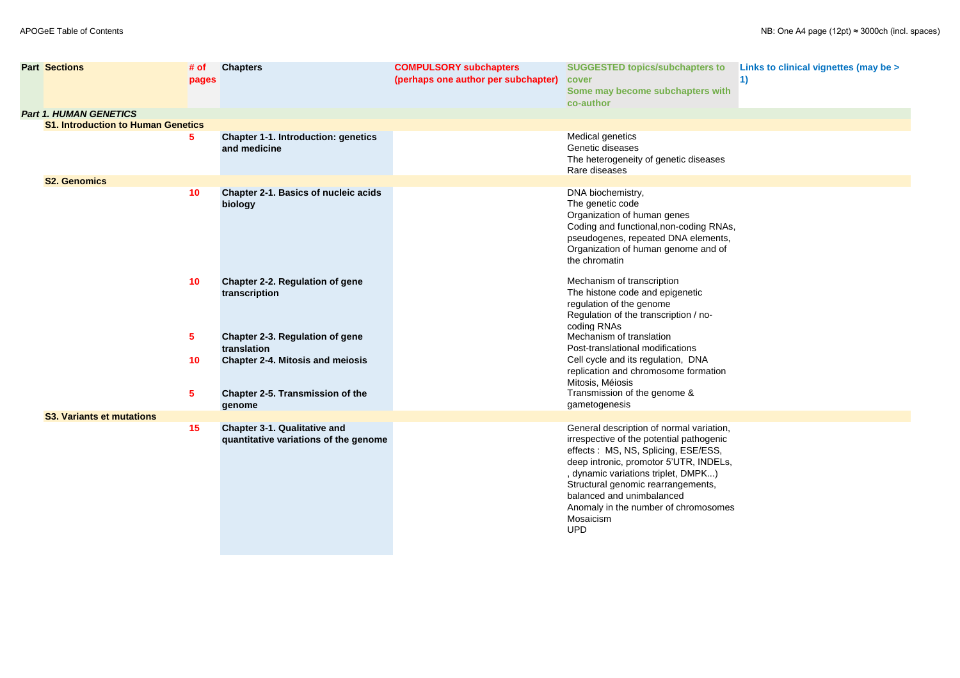| <b>SUGGESTED topics/subchapters to</b><br>cover<br>Some may become subchapters with<br>co-author                                                                                                                                                                                                                                                                     | Links to clinical vignettes (may be ><br>1) |
|----------------------------------------------------------------------------------------------------------------------------------------------------------------------------------------------------------------------------------------------------------------------------------------------------------------------------------------------------------------------|---------------------------------------------|
|                                                                                                                                                                                                                                                                                                                                                                      |                                             |
| <b>Medical genetics</b><br>Genetic diseases<br>The heterogeneity of genetic diseases<br>Rare diseases                                                                                                                                                                                                                                                                |                                             |
| DNA biochemistry,<br>The genetic code<br>Organization of human genes<br>Coding and functional, non-coding RNAs,<br>pseudogenes, repeated DNA elements,<br>Organization of human genome and of<br>the chromatin                                                                                                                                                       |                                             |
| Mechanism of transcription<br>The histone code and epigenetic<br>regulation of the genome<br>Regulation of the transcription / no-<br>coding RNAs<br>Mechanism of translation<br>Post-translational modifications<br>Cell cycle and its regulation, DNA<br>replication and chromosome formation<br>Mitosis, Méiosis<br>Transmission of the genome &<br>gametogenesis |                                             |
|                                                                                                                                                                                                                                                                                                                                                                      |                                             |
| General description of normal variation,<br>irrespective of the potential pathogenic<br>effects: MS, NS, Splicing, ESE/ESS,<br>deep intronic, promotor 5'UTR, INDELs,<br>, dynamic variations triplet, DMPK)<br>Structural genomic rearrangements,<br>balanced and unimbalanced<br>Anomaly in the number of chromosomes<br>Mosaicism<br>UPD                          |                                             |

| <b>Part Sections</b>                      | # of<br>pages | <b>Chapters</b>                                                              | <b>COMPULSORY subchapters</b><br>(perhaps one author per subchapter) | <b>SUGGESTED topics/subchapters to</b><br>cover<br>Some may become subchapters with<br>co-author                                                                                                                                                                                                                                                   |
|-------------------------------------------|---------------|------------------------------------------------------------------------------|----------------------------------------------------------------------|----------------------------------------------------------------------------------------------------------------------------------------------------------------------------------------------------------------------------------------------------------------------------------------------------------------------------------------------------|
| <b>Part 1. HUMAN GENETICS</b>             |               |                                                                              |                                                                      |                                                                                                                                                                                                                                                                                                                                                    |
| <b>S1. Introduction to Human Genetics</b> |               |                                                                              |                                                                      |                                                                                                                                                                                                                                                                                                                                                    |
|                                           | 5             | <b>Chapter 1-1. Introduction: genetics</b><br>and medicine                   |                                                                      | <b>Medical genetics</b><br>Genetic diseases<br>The heterogeneity of genetic diseases<br>Rare diseases                                                                                                                                                                                                                                              |
| <b>S2. Genomics</b>                       |               |                                                                              |                                                                      |                                                                                                                                                                                                                                                                                                                                                    |
|                                           | 10            | <b>Chapter 2-1. Basics of nucleic acids</b><br>biology                       |                                                                      | DNA biochemistry,<br>The genetic code<br>Organization of human genes<br>Coding and functional, non-coding RNAs,<br>pseudogenes, repeated DNA elements,<br>Organization of human genome and of<br>the chromatin                                                                                                                                     |
|                                           | 10            | <b>Chapter 2-2. Regulation of gene</b><br>transcription                      |                                                                      | Mechanism of transcription<br>The histone code and epigenetic<br>regulation of the genome<br>Regulation of the transcription / no-<br>coding RNAs                                                                                                                                                                                                  |
|                                           | 5             | <b>Chapter 2-3. Regulation of gene</b><br>translation                        |                                                                      | Mechanism of translation<br>Post-translational modifications                                                                                                                                                                                                                                                                                       |
|                                           | 10            | <b>Chapter 2-4. Mitosis and meiosis</b>                                      |                                                                      | Cell cycle and its regulation, DNA<br>replication and chromosome formation<br>Mitosis, Méiosis                                                                                                                                                                                                                                                     |
|                                           | 5             | <b>Chapter 2-5. Transmission of the</b><br>genome                            |                                                                      | Transmission of the genome &<br>gametogenesis                                                                                                                                                                                                                                                                                                      |
| <b>S3. Variants et mutations</b>          |               |                                                                              |                                                                      |                                                                                                                                                                                                                                                                                                                                                    |
|                                           | 15            | <b>Chapter 3-1. Qualitative and</b><br>quantitative variations of the genome |                                                                      | General description of normal variation,<br>irrespective of the potential pathogenic<br>effects: MS, NS, Splicing, ESE/ESS,<br>deep intronic, promotor 5'UTR, INDELs,<br>, dynamic variations triplet, DMPK)<br>Structural genomic rearrangements,<br>balanced and unimbalanced<br>Anomaly in the number of chromosomes<br>Mosaicism<br><b>UPD</b> |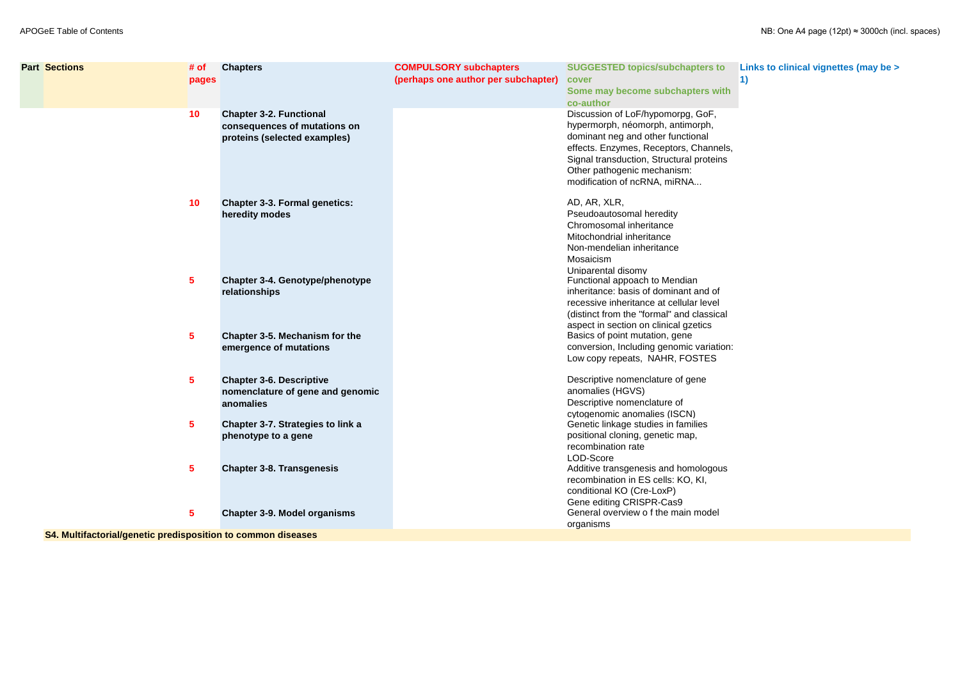| ters to                                         | Links to clinical vignettes (may be > |
|-------------------------------------------------|---------------------------------------|
| ers with                                        | 1)                                    |
| GoF,<br>rph,<br>nal<br>hannels,<br>proteins<br> |                                       |

| <b>Part Sections</b>                                         | # of            | <b>Chapters</b>                                                                                | <b>COMPULSORY subchapters</b>       | <b>SUGGESTED topics/subchapters to</b>                                                                                                                                                                                                                          |
|--------------------------------------------------------------|-----------------|------------------------------------------------------------------------------------------------|-------------------------------------|-----------------------------------------------------------------------------------------------------------------------------------------------------------------------------------------------------------------------------------------------------------------|
|                                                              | pages           |                                                                                                | (perhaps one author per subchapter) | cover<br>Some may become subchapters with<br>co-author                                                                                                                                                                                                          |
|                                                              | 10              | <b>Chapter 3-2. Functional</b><br>consequences of mutations on<br>proteins (selected examples) |                                     | Discussion of LoF/hypomorpg, GoF,<br>hypermorph, néomorph, antimorph,<br>dominant neg and other functional<br>effects. Enzymes, Receptors, Channels,<br>Signal transduction, Structural proteins<br>Other pathogenic mechanism:<br>modification of ncRNA, miRNA |
|                                                              | 10              | <b>Chapter 3-3. Formal genetics:</b><br>heredity modes                                         |                                     | AD, AR, XLR,<br>Pseudoautosomal heredity<br>Chromosomal inheritance<br>Mitochondrial inheritance<br>Non-mendelian inheritance<br>Mosaicism<br>Uniparental disomy                                                                                                |
|                                                              | 5               | <b>Chapter 3-4. Genotype/phenotype</b><br>relationships                                        |                                     | Functional appoach to Mendian<br>inheritance: basis of dominant and of<br>recessive inheritance at cellular level<br>(distinct from the "formal" and classical<br>aspect in section on clinical gzetics                                                         |
|                                                              | 5               | Chapter 3-5. Mechanism for the<br>emergence of mutations                                       |                                     | Basics of point mutation, gene<br>conversion, Including genomic variation:<br>Low copy repeats, NAHR, FOSTES                                                                                                                                                    |
|                                                              | $5\overline{)}$ | <b>Chapter 3-6. Descriptive</b><br>nomenclature of gene and genomic<br>anomalies               |                                     | Descriptive nomenclature of gene<br>anomalies (HGVS)<br>Descriptive nomenclature of<br>cytogenomic anomalies (ISCN)                                                                                                                                             |
|                                                              | $5\phantom{.0}$ | <b>Chapter 3-7. Strategies to link a</b><br>phenotype to a gene                                |                                     | Genetic linkage studies in families<br>positional cloning, genetic map,<br>recombination rate<br>LOD-Score                                                                                                                                                      |
|                                                              | $5\overline{)}$ | <b>Chapter 3-8. Transgenesis</b>                                                               |                                     | Additive transgenesis and homologous<br>recombination in ES cells: KO, KI,<br>conditional KO (Cre-LoxP)<br>Gene editing CRISPR-Cas9                                                                                                                             |
| S4. Multifactorial/genetic predisposition to common diseases | $5\phantom{.0}$ | <b>Chapter 3-9. Model organisms</b>                                                            |                                     | General overview of the main model<br>organisms                                                                                                                                                                                                                 |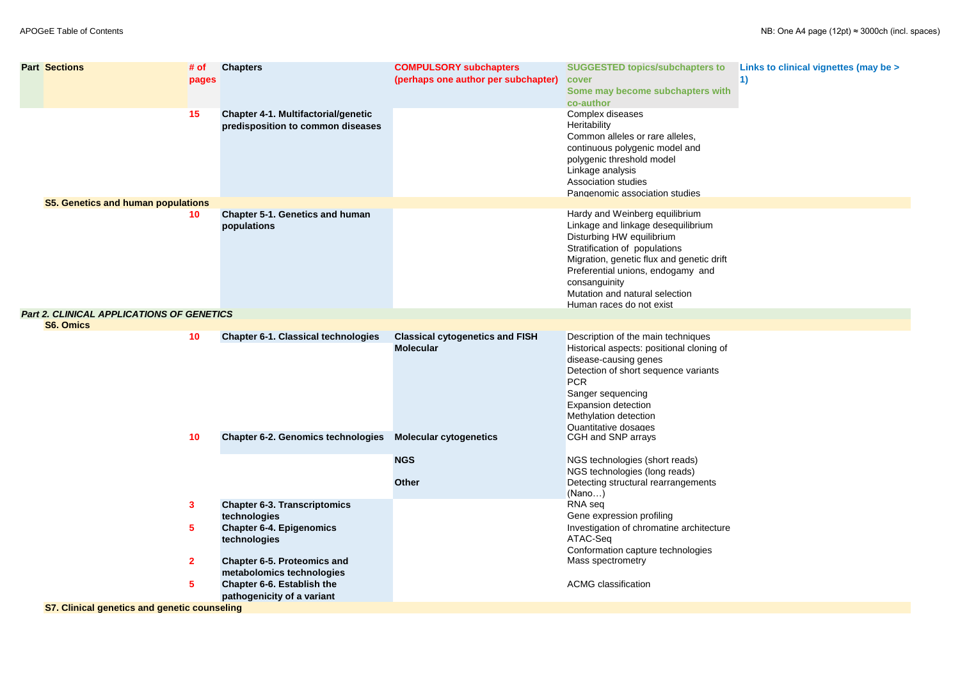| <b>Part Sections</b>                                | # of<br>pages  | <b>Chapters</b>                                                                              | <b>COMPULSORY subchapters</b><br>(perhaps one author per subchapter) | <b>SUGGESTED topics/subchapters to</b><br>cover<br>Some may become subchapters with<br>co-author                                                                                                                                                                   | Links to clinical vignettes (may be ><br>$\vert$ 1) |
|-----------------------------------------------------|----------------|----------------------------------------------------------------------------------------------|----------------------------------------------------------------------|--------------------------------------------------------------------------------------------------------------------------------------------------------------------------------------------------------------------------------------------------------------------|-----------------------------------------------------|
| <b>S5. Genetics and human populations</b>           | 15             | <b>Chapter 4-1. Multifactorial/genetic</b><br>predisposition to common diseases              |                                                                      | Complex diseases<br>Heritability<br>Common alleles or rare alleles,<br>continuous polygenic model and<br>polygenic threshold model<br>Linkage analysis<br><b>Association studies</b><br>Pangenomic association studies                                             |                                                     |
|                                                     | 10             | <b>Chapter 5-1. Genetics and human</b>                                                       |                                                                      | Hardy and Weinberg equilibrium                                                                                                                                                                                                                                     |                                                     |
|                                                     |                | populations                                                                                  |                                                                      | Linkage and linkage desequilibrium<br>Disturbing HW equilibrium<br>Stratification of populations<br>Migration, genetic flux and genetic drift<br>Preferential unions, endogamy and<br>consanguinity<br>Mutation and natural selection<br>Human races do not exist  |                                                     |
| <b>Part 2. CLINICAL APPLICATIONS OF GENETICS</b>    |                |                                                                                              |                                                                      |                                                                                                                                                                                                                                                                    |                                                     |
| <b>S6. Omics</b>                                    |                |                                                                                              |                                                                      |                                                                                                                                                                                                                                                                    |                                                     |
|                                                     | 10             | <b>Chapter 6-1. Classical technologies</b>                                                   | <b>Classical cytogenetics and FISH</b><br><b>Molecular</b>           | Description of the main techniques<br>Historical aspects: positional cloning of<br>disease-causing genes<br>Detection of short sequence variants<br><b>PCR</b><br>Sanger sequencing<br><b>Expansion detection</b><br>Methylation detection<br>Quantitative dosages |                                                     |
|                                                     | 10             | <b>Chapter 6-2. Genomics technologies</b>                                                    | <b>Molecular cytogenetics</b>                                        | CGH and SNP arrays                                                                                                                                                                                                                                                 |                                                     |
|                                                     |                |                                                                                              | <b>NGS</b><br><b>Other</b>                                           | NGS technologies (short reads)<br>NGS technologies (long reads)<br>Detecting structural rearrangements                                                                                                                                                             |                                                     |
|                                                     |                |                                                                                              |                                                                      | (Nano)                                                                                                                                                                                                                                                             |                                                     |
|                                                     | $\mathbf{3}$   | <b>Chapter 6-3. Transcriptomics</b><br>technologies                                          |                                                                      | RNA seq<br>Gene expression profiling                                                                                                                                                                                                                               |                                                     |
|                                                     | 5              | <b>Chapter 6-4. Epigenomics</b><br>technologies                                              |                                                                      | Investigation of chromatine architecture<br>ATAC-Seq<br>Conformation capture technologies                                                                                                                                                                          |                                                     |
|                                                     | 2 <sup>1</sup> | <b>Chapter 6-5. Proteomics and</b>                                                           |                                                                      | Mass spectrometry                                                                                                                                                                                                                                                  |                                                     |
|                                                     | 5              | metabolomics technologies<br><b>Chapter 6-6. Establish the</b><br>pathogenicity of a variant |                                                                      | <b>ACMG</b> classification                                                                                                                                                                                                                                         |                                                     |
| <b>S7. Clinical genetics and genetic counseling</b> |                |                                                                                              |                                                                      |                                                                                                                                                                                                                                                                    |                                                     |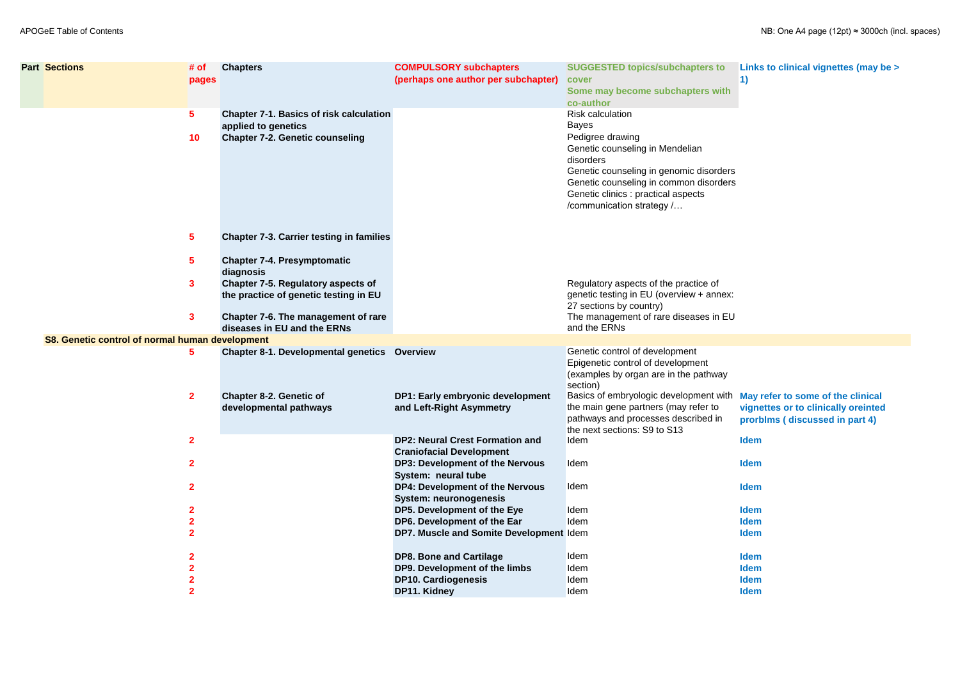| <b>Part Sections</b>                            | # of<br>pages           | <b>Chapters</b>                                                                    | <b>COMPULSORY subchapters</b><br>(perhaps one author per subchapter)      | <b>SUGGESTED topics/subchapters to</b><br>cover<br>Some may become subchapters with                                                                                                                                         | Links to clinical vignettes (may be ><br>1) |
|-------------------------------------------------|-------------------------|------------------------------------------------------------------------------------|---------------------------------------------------------------------------|-----------------------------------------------------------------------------------------------------------------------------------------------------------------------------------------------------------------------------|---------------------------------------------|
|                                                 | $5\phantom{.0}$         | <b>Chapter 7-1. Basics of risk calculation</b><br>applied to genetics              |                                                                           | co-author<br><b>Risk calculation</b><br><b>Bayes</b>                                                                                                                                                                        |                                             |
|                                                 | 10                      | <b>Chapter 7-2. Genetic counseling</b>                                             |                                                                           | Pedigree drawing<br>Genetic counseling in Mendelian<br>disorders<br>Genetic counseling in genomic disorders<br>Genetic counseling in common disorders<br>Genetic clinics : practical aspects<br>/communication strategy /   |                                             |
|                                                 | $\overline{\mathbf{5}}$ | <b>Chapter 7-3. Carrier testing in families</b>                                    |                                                                           |                                                                                                                                                                                                                             |                                             |
|                                                 | $5^{\circ}$             | <b>Chapter 7-4. Presymptomatic</b><br>diagnosis                                    |                                                                           |                                                                                                                                                                                                                             |                                             |
|                                                 | 3                       | <b>Chapter 7-5. Regulatory aspects of</b><br>the practice of genetic testing in EU |                                                                           | Regulatory aspects of the practice of<br>genetic testing in EU (overview + annex:<br>27 sections by country)                                                                                                                |                                             |
|                                                 | 3                       | Chapter 7-6. The management of rare<br>diseases in EU and the ERNs                 |                                                                           | The management of rare diseases in EU<br>and the ERNs                                                                                                                                                                       |                                             |
| S8. Genetic control of normal human development |                         |                                                                                    |                                                                           |                                                                                                                                                                                                                             |                                             |
|                                                 | $5^{\circ}$             | <b>Chapter 8-1. Developmental genetics Overview</b>                                |                                                                           | Genetic control of development<br>Epigenetic control of development<br>(examples by organ are in the pathway<br>section)                                                                                                    |                                             |
|                                                 | $\mathbf{2}$            | <b>Chapter 8-2. Genetic of</b><br>developmental pathways                           | <b>DP1: Early embryonic development</b><br>and Left-Right Asymmetry       | Basics of embryologic development with May refer to some of the clinical<br>the main gene partners (may refer to vignettes or to clinically oreinted<br>pathways and processes described in<br>the next sections: S9 to S13 | prorblms (discussed in part 4)              |
|                                                 | $\overline{2}$          |                                                                                    | <b>DP2: Neural Crest Formation and</b><br><b>Craniofacial Development</b> | Idem                                                                                                                                                                                                                        | <b>Idem</b>                                 |
|                                                 | $\overline{2}$          |                                                                                    | <b>DP3: Development of the Nervous</b><br>System: neural tube             | Idem                                                                                                                                                                                                                        | <b>Idem</b>                                 |
|                                                 | $\overline{2}$          |                                                                                    | <b>DP4: Development of the Nervous</b><br><b>System: neuronogenesis</b>   | Idem                                                                                                                                                                                                                        | <b>Idem</b>                                 |
|                                                 | $\overline{\mathbf{2}}$ |                                                                                    | DP5. Development of the Eye                                               | Idem                                                                                                                                                                                                                        | <b>Idem</b>                                 |
|                                                 | $\overline{2}$          |                                                                                    | DP6. Development of the Ear                                               | Idem                                                                                                                                                                                                                        | <b>Idem</b>                                 |
|                                                 | $\overline{2}$          |                                                                                    | DP7. Muscle and Somite Development Idem                                   |                                                                                                                                                                                                                             | <b>Idem</b>                                 |
|                                                 | $\mathbf{2}$            |                                                                                    | <b>DP8. Bone and Cartilage</b>                                            | Idem                                                                                                                                                                                                                        | <b>Idem</b>                                 |
|                                                 | $\overline{2}$          |                                                                                    | DP9. Development of the limbs                                             | Idem                                                                                                                                                                                                                        | <b>Idem</b>                                 |
|                                                 | 2                       |                                                                                    | <b>DP10. Cardiogenesis</b>                                                | Idem                                                                                                                                                                                                                        | <b>Idem</b>                                 |
|                                                 | $\overline{2}$          |                                                                                    | <b>DP11. Kidney</b>                                                       | Idem                                                                                                                                                                                                                        | <b>Idem</b>                                 |
|                                                 |                         |                                                                                    |                                                                           |                                                                                                                                                                                                                             |                                             |

| ters to  | <b>Links to clinical vignettes (may be &gt;</b> |
|----------|-------------------------------------------------|
|          | 1)                                              |
| ers with |                                                 |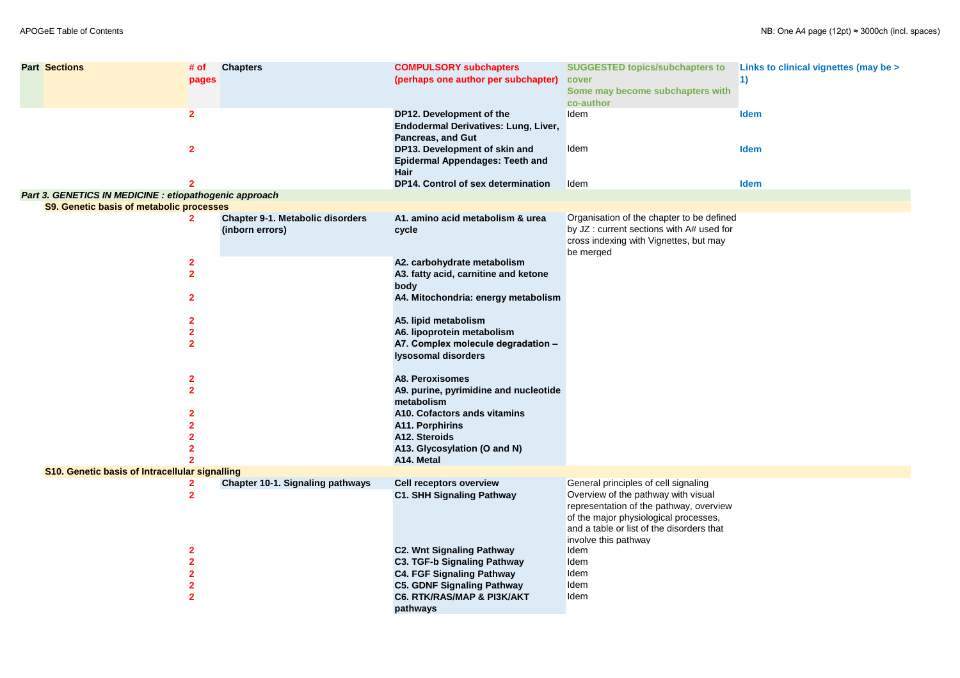| $\mathbf{2}$<br>DP12. Development of the<br>Idem<br><b>Idem</b><br>Endodermal Derivatives: Lung, Liver,<br><b>Pancreas, and Gut</b><br>$\overline{2}$<br>DP13. Development of skin and<br>Idem<br><b>Idem</b><br><b>Epidermal Appendages: Teeth and</b><br>Hair<br><b>DP14. Control of sex determination</b><br>Idem<br><b>Idem</b><br>Part 3. GENETICS IN MEDICINE : etiopathogenic approach<br><b>S9. Genetic basis of metabolic processes</b><br>Organisation of the chapter to be defined<br><b>Chapter 9-1. Metabolic disorders</b><br>A1. amino acid metabolism & urea<br>$\mathbf{2}$<br>by JZ : current sections with A# used for<br>(inborn errors)<br>cycle<br>cross indexing with Vignettes, but may<br>be merged<br>A2. carbohydrate metabolism<br>$\mathbf{2}$<br>$\overline{2}$<br>A3. fatty acid, carnitine and ketone<br>body<br>$\overline{2}$<br>A4. Mitochondria: energy metabolism<br>$\mathbf{2}$<br>A5. lipid metabolism<br>$\overline{\mathbf{2}}$<br>A6. lipoprotein metabolism<br>$\overline{2}$<br>A7. Complex molecule degradation -<br>Iysosomal disorders<br>A8. Peroxisomes<br>$\mathbf{2}$<br>$\overline{2}$<br>A9. purine, pyrimidine and nucleotide<br>metabolism<br>A10. Cofactors ands vitamins<br><b>A11. Porphirins</b><br>A12. Steroids<br>A13. Glycosylation (O and N)<br>A14. Metal<br><b>S10. Genetic basis of Intracellular signalling</b><br>General principles of cell signaling<br><b>Chapter 10-1. Signaling pathways</b><br><b>Cell receptors overview</b><br>Overview of the pathway with visual<br><b>C1. SHH Signaling Pathway</b><br>$\mathbf{2}$<br>representation of the pathway, overview<br>of the major physiological processes,<br>and a table or list of the disorders that<br>involve this pathway<br><b>C2. Wnt Signaling Pathway</b><br>Idem<br>$\mathbf{2}$<br><b>C3. TGF-b Signaling Pathway</b><br>Idem<br><b>C4. FGF Signaling Pathway</b><br>Idem<br><b>C5. GDNF Signaling Pathway</b><br>Idem<br><b>C6. RTK/RAS/MAP &amp; PI3K/AKT</b><br>Idem<br>$\overline{2}$ | <b>Part Sections</b> | # of<br>pages | <b>Chapters</b> | <b>COMPULSORY subchapters</b><br>(perhaps one author per subchapter) | <b>SUGGESTED topics/subchapters to</b><br>cover<br>Some may become subchapters with<br>co-author | Links to clinical vignettes (may be ><br>$\vert$ 1) |
|-------------------------------------------------------------------------------------------------------------------------------------------------------------------------------------------------------------------------------------------------------------------------------------------------------------------------------------------------------------------------------------------------------------------------------------------------------------------------------------------------------------------------------------------------------------------------------------------------------------------------------------------------------------------------------------------------------------------------------------------------------------------------------------------------------------------------------------------------------------------------------------------------------------------------------------------------------------------------------------------------------------------------------------------------------------------------------------------------------------------------------------------------------------------------------------------------------------------------------------------------------------------------------------------------------------------------------------------------------------------------------------------------------------------------------------------------------------------------------------------------------------------------------------------------------------------------------------------------------------------------------------------------------------------------------------------------------------------------------------------------------------------------------------------------------------------------------------------------------------------------------------------------------------------------------------------------------------------------------------------------------------------------------------|----------------------|---------------|-----------------|----------------------------------------------------------------------|--------------------------------------------------------------------------------------------------|-----------------------------------------------------|
|                                                                                                                                                                                                                                                                                                                                                                                                                                                                                                                                                                                                                                                                                                                                                                                                                                                                                                                                                                                                                                                                                                                                                                                                                                                                                                                                                                                                                                                                                                                                                                                                                                                                                                                                                                                                                                                                                                                                                                                                                                     |                      |               |                 |                                                                      |                                                                                                  |                                                     |
|                                                                                                                                                                                                                                                                                                                                                                                                                                                                                                                                                                                                                                                                                                                                                                                                                                                                                                                                                                                                                                                                                                                                                                                                                                                                                                                                                                                                                                                                                                                                                                                                                                                                                                                                                                                                                                                                                                                                                                                                                                     |                      |               |                 |                                                                      |                                                                                                  |                                                     |
|                                                                                                                                                                                                                                                                                                                                                                                                                                                                                                                                                                                                                                                                                                                                                                                                                                                                                                                                                                                                                                                                                                                                                                                                                                                                                                                                                                                                                                                                                                                                                                                                                                                                                                                                                                                                                                                                                                                                                                                                                                     |                      |               |                 |                                                                      |                                                                                                  |                                                     |
|                                                                                                                                                                                                                                                                                                                                                                                                                                                                                                                                                                                                                                                                                                                                                                                                                                                                                                                                                                                                                                                                                                                                                                                                                                                                                                                                                                                                                                                                                                                                                                                                                                                                                                                                                                                                                                                                                                                                                                                                                                     |                      |               |                 |                                                                      |                                                                                                  |                                                     |
|                                                                                                                                                                                                                                                                                                                                                                                                                                                                                                                                                                                                                                                                                                                                                                                                                                                                                                                                                                                                                                                                                                                                                                                                                                                                                                                                                                                                                                                                                                                                                                                                                                                                                                                                                                                                                                                                                                                                                                                                                                     |                      |               |                 |                                                                      |                                                                                                  |                                                     |
|                                                                                                                                                                                                                                                                                                                                                                                                                                                                                                                                                                                                                                                                                                                                                                                                                                                                                                                                                                                                                                                                                                                                                                                                                                                                                                                                                                                                                                                                                                                                                                                                                                                                                                                                                                                                                                                                                                                                                                                                                                     |                      |               |                 |                                                                      |                                                                                                  |                                                     |
|                                                                                                                                                                                                                                                                                                                                                                                                                                                                                                                                                                                                                                                                                                                                                                                                                                                                                                                                                                                                                                                                                                                                                                                                                                                                                                                                                                                                                                                                                                                                                                                                                                                                                                                                                                                                                                                                                                                                                                                                                                     |                      |               |                 |                                                                      |                                                                                                  |                                                     |
|                                                                                                                                                                                                                                                                                                                                                                                                                                                                                                                                                                                                                                                                                                                                                                                                                                                                                                                                                                                                                                                                                                                                                                                                                                                                                                                                                                                                                                                                                                                                                                                                                                                                                                                                                                                                                                                                                                                                                                                                                                     |                      |               |                 |                                                                      |                                                                                                  |                                                     |
|                                                                                                                                                                                                                                                                                                                                                                                                                                                                                                                                                                                                                                                                                                                                                                                                                                                                                                                                                                                                                                                                                                                                                                                                                                                                                                                                                                                                                                                                                                                                                                                                                                                                                                                                                                                                                                                                                                                                                                                                                                     |                      |               |                 |                                                                      |                                                                                                  |                                                     |
|                                                                                                                                                                                                                                                                                                                                                                                                                                                                                                                                                                                                                                                                                                                                                                                                                                                                                                                                                                                                                                                                                                                                                                                                                                                                                                                                                                                                                                                                                                                                                                                                                                                                                                                                                                                                                                                                                                                                                                                                                                     |                      |               |                 |                                                                      |                                                                                                  |                                                     |
|                                                                                                                                                                                                                                                                                                                                                                                                                                                                                                                                                                                                                                                                                                                                                                                                                                                                                                                                                                                                                                                                                                                                                                                                                                                                                                                                                                                                                                                                                                                                                                                                                                                                                                                                                                                                                                                                                                                                                                                                                                     |                      |               |                 |                                                                      |                                                                                                  |                                                     |
|                                                                                                                                                                                                                                                                                                                                                                                                                                                                                                                                                                                                                                                                                                                                                                                                                                                                                                                                                                                                                                                                                                                                                                                                                                                                                                                                                                                                                                                                                                                                                                                                                                                                                                                                                                                                                                                                                                                                                                                                                                     |                      |               |                 |                                                                      |                                                                                                  |                                                     |
|                                                                                                                                                                                                                                                                                                                                                                                                                                                                                                                                                                                                                                                                                                                                                                                                                                                                                                                                                                                                                                                                                                                                                                                                                                                                                                                                                                                                                                                                                                                                                                                                                                                                                                                                                                                                                                                                                                                                                                                                                                     |                      |               |                 |                                                                      |                                                                                                  |                                                     |
|                                                                                                                                                                                                                                                                                                                                                                                                                                                                                                                                                                                                                                                                                                                                                                                                                                                                                                                                                                                                                                                                                                                                                                                                                                                                                                                                                                                                                                                                                                                                                                                                                                                                                                                                                                                                                                                                                                                                                                                                                                     |                      |               |                 |                                                                      |                                                                                                  |                                                     |
|                                                                                                                                                                                                                                                                                                                                                                                                                                                                                                                                                                                                                                                                                                                                                                                                                                                                                                                                                                                                                                                                                                                                                                                                                                                                                                                                                                                                                                                                                                                                                                                                                                                                                                                                                                                                                                                                                                                                                                                                                                     |                      |               |                 |                                                                      |                                                                                                  |                                                     |
|                                                                                                                                                                                                                                                                                                                                                                                                                                                                                                                                                                                                                                                                                                                                                                                                                                                                                                                                                                                                                                                                                                                                                                                                                                                                                                                                                                                                                                                                                                                                                                                                                                                                                                                                                                                                                                                                                                                                                                                                                                     |                      |               |                 |                                                                      |                                                                                                  |                                                     |
|                                                                                                                                                                                                                                                                                                                                                                                                                                                                                                                                                                                                                                                                                                                                                                                                                                                                                                                                                                                                                                                                                                                                                                                                                                                                                                                                                                                                                                                                                                                                                                                                                                                                                                                                                                                                                                                                                                                                                                                                                                     |                      |               |                 |                                                                      |                                                                                                  |                                                     |
|                                                                                                                                                                                                                                                                                                                                                                                                                                                                                                                                                                                                                                                                                                                                                                                                                                                                                                                                                                                                                                                                                                                                                                                                                                                                                                                                                                                                                                                                                                                                                                                                                                                                                                                                                                                                                                                                                                                                                                                                                                     |                      |               |                 |                                                                      |                                                                                                  |                                                     |
|                                                                                                                                                                                                                                                                                                                                                                                                                                                                                                                                                                                                                                                                                                                                                                                                                                                                                                                                                                                                                                                                                                                                                                                                                                                                                                                                                                                                                                                                                                                                                                                                                                                                                                                                                                                                                                                                                                                                                                                                                                     |                      |               |                 |                                                                      |                                                                                                  |                                                     |
|                                                                                                                                                                                                                                                                                                                                                                                                                                                                                                                                                                                                                                                                                                                                                                                                                                                                                                                                                                                                                                                                                                                                                                                                                                                                                                                                                                                                                                                                                                                                                                                                                                                                                                                                                                                                                                                                                                                                                                                                                                     |                      |               |                 |                                                                      |                                                                                                  |                                                     |
|                                                                                                                                                                                                                                                                                                                                                                                                                                                                                                                                                                                                                                                                                                                                                                                                                                                                                                                                                                                                                                                                                                                                                                                                                                                                                                                                                                                                                                                                                                                                                                                                                                                                                                                                                                                                                                                                                                                                                                                                                                     |                      |               |                 |                                                                      |                                                                                                  |                                                     |
|                                                                                                                                                                                                                                                                                                                                                                                                                                                                                                                                                                                                                                                                                                                                                                                                                                                                                                                                                                                                                                                                                                                                                                                                                                                                                                                                                                                                                                                                                                                                                                                                                                                                                                                                                                                                                                                                                                                                                                                                                                     |                      |               |                 |                                                                      |                                                                                                  |                                                     |
|                                                                                                                                                                                                                                                                                                                                                                                                                                                                                                                                                                                                                                                                                                                                                                                                                                                                                                                                                                                                                                                                                                                                                                                                                                                                                                                                                                                                                                                                                                                                                                                                                                                                                                                                                                                                                                                                                                                                                                                                                                     |                      |               |                 |                                                                      |                                                                                                  |                                                     |
|                                                                                                                                                                                                                                                                                                                                                                                                                                                                                                                                                                                                                                                                                                                                                                                                                                                                                                                                                                                                                                                                                                                                                                                                                                                                                                                                                                                                                                                                                                                                                                                                                                                                                                                                                                                                                                                                                                                                                                                                                                     |                      |               |                 |                                                                      |                                                                                                  |                                                     |
|                                                                                                                                                                                                                                                                                                                                                                                                                                                                                                                                                                                                                                                                                                                                                                                                                                                                                                                                                                                                                                                                                                                                                                                                                                                                                                                                                                                                                                                                                                                                                                                                                                                                                                                                                                                                                                                                                                                                                                                                                                     |                      |               |                 |                                                                      |                                                                                                  |                                                     |
|                                                                                                                                                                                                                                                                                                                                                                                                                                                                                                                                                                                                                                                                                                                                                                                                                                                                                                                                                                                                                                                                                                                                                                                                                                                                                                                                                                                                                                                                                                                                                                                                                                                                                                                                                                                                                                                                                                                                                                                                                                     |                      |               |                 | pathways                                                             |                                                                                                  |                                                     |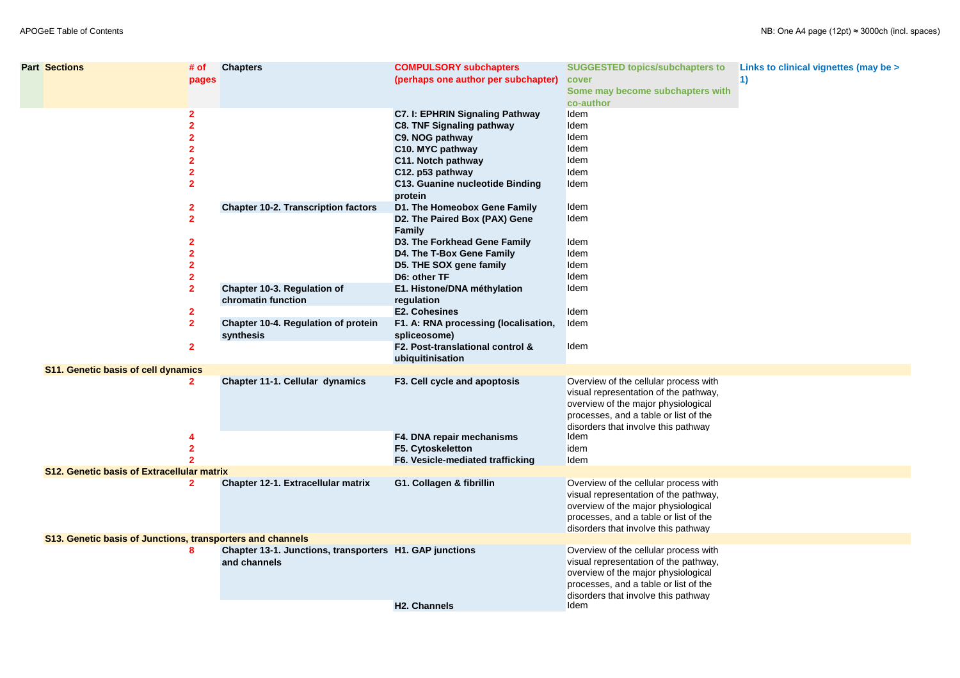| <b>Part Sections</b>                                       | # of<br>pages                                  | <b>Chapters</b>                                                         | <b>COMPULSORY subchapters</b><br>(perhaps one author per subchapter)                                                                                                                                             | <b>SUGGESTED topics/subchapters to</b><br>cover<br>Some may become subchapters with<br>co-author                                                                                                                      | Links to clinical vignettes (may be ><br>1) |
|------------------------------------------------------------|------------------------------------------------|-------------------------------------------------------------------------|------------------------------------------------------------------------------------------------------------------------------------------------------------------------------------------------------------------|-----------------------------------------------------------------------------------------------------------------------------------------------------------------------------------------------------------------------|---------------------------------------------|
|                                                            |                                                |                                                                         | <b>C7. I: EPHRIN Signaling Pathway</b><br><b>C8. TNF Signaling pathway</b><br>C9. NOG pathway<br>C10. MYC pathway<br>C11. Notch pathway<br>C12. p53 pathway<br><b>C13. Guanine nucleotide Binding</b><br>protein | Idem<br>Idem<br>Idem<br>Idem<br>Idem<br>Idem<br>Idem                                                                                                                                                                  |                                             |
|                                                            | $\mathbf{2}$                                   | <b>Chapter 10-2. Transcription factors</b>                              | D1. The Homeobox Gene Family<br>D2. The Paired Box (PAX) Gene<br><b>Family</b><br>D3. The Forkhead Gene Family                                                                                                   | Idem<br>Idem<br>Idem                                                                                                                                                                                                  |                                             |
|                                                            | $\mathbf 2$                                    | <b>Chapter 10-3. Regulation of</b><br>chromatin function                | D4. The T-Box Gene Family<br>D5. THE SOX gene family<br>D6: other TF<br>E1. Histone/DNA méthylation                                                                                                              | Idem<br>Idem<br>Idem<br>Idem                                                                                                                                                                                          |                                             |
|                                                            | $\mathbf{2}$<br>$\overline{2}$<br>$\mathbf{2}$ | <b>Chapter 10-4. Regulation of protein</b><br>synthesis                 | regulation<br><b>E2. Cohesines</b><br>F1. A: RNA processing (localisation,<br>spliceosome)<br>F2. Post-translational control &                                                                                   | Idem<br>Idem<br>Idem                                                                                                                                                                                                  |                                             |
| <b>S11. Genetic basis of cell dynamics</b>                 |                                                |                                                                         | ubiquitinisation                                                                                                                                                                                                 |                                                                                                                                                                                                                       |                                             |
|                                                            | $\mathbf{2}$                                   | <b>Chapter 11-1. Cellular dynamics</b>                                  | F3. Cell cycle and apoptosis<br>F4. DNA repair mechanisms<br>F5. Cytoskeletton                                                                                                                                   | Overview of the cellular process with<br>visual representation of the pathway,<br>overview of the major physiological<br>processes, and a table or list of the<br>disorders that involve this pathway<br>Idem<br>idem |                                             |
| <b>S12. Genetic basis of Extracellular matrix</b>          |                                                |                                                                         | F6. Vesicle-mediated trafficking                                                                                                                                                                                 | Idem                                                                                                                                                                                                                  |                                             |
|                                                            | $\mathbf{2}$                                   | <b>Chapter 12-1. Extracellular matrix</b>                               | G1. Collagen & fibrillin                                                                                                                                                                                         | Overview of the cellular process with<br>visual representation of the pathway,<br>overview of the major physiological<br>processes, and a table or list of the<br>disorders that involve this pathway                 |                                             |
| S13. Genetic basis of Junctions, transporters and channels |                                                |                                                                         |                                                                                                                                                                                                                  |                                                                                                                                                                                                                       |                                             |
|                                                            | 8                                              | Chapter 13-1. Junctions, transporters H1. GAP junctions<br>and channels | <b>H2. Channels</b>                                                                                                                                                                                              | Overview of the cellular process with<br>visual representation of the pathway,<br>overview of the major physiological<br>processes, and a table or list of the<br>disorders that involve this pathway<br>Idem         |                                             |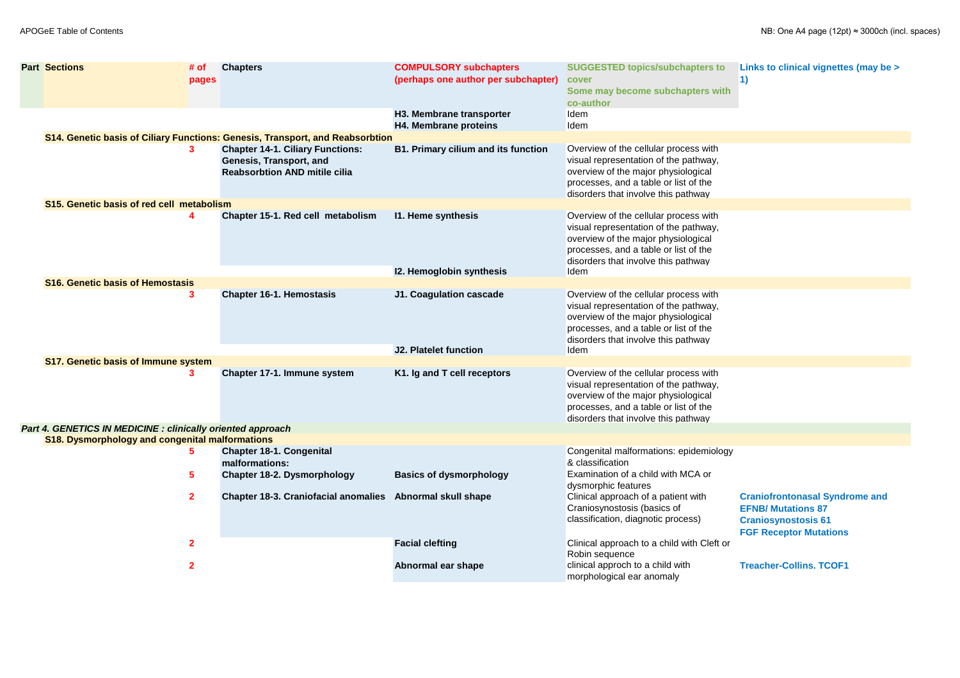| <b>Part Sections</b>                                       | $#$ of         | <b>Chapters</b>                                                                                            | <b>COMPULSORY subchapters</b>              | <b>SUGGESTED topics/subchapters to</b>                                                                                                                                                                |
|------------------------------------------------------------|----------------|------------------------------------------------------------------------------------------------------------|--------------------------------------------|-------------------------------------------------------------------------------------------------------------------------------------------------------------------------------------------------------|
|                                                            | pages          |                                                                                                            | (perhaps one author per subchapter)        | cover                                                                                                                                                                                                 |
|                                                            |                |                                                                                                            |                                            | Some may become subchapters with<br>co-author                                                                                                                                                         |
|                                                            |                |                                                                                                            | H3. Membrane transporter                   | Idem                                                                                                                                                                                                  |
|                                                            |                |                                                                                                            | <b>H4. Membrane proteins</b>               | Idem                                                                                                                                                                                                  |
|                                                            |                | S14. Genetic basis of Ciliary Functions: Genesis, Transport, and Reabsorbtion                              |                                            |                                                                                                                                                                                                       |
|                                                            | 3              | <b>Chapter 14-1. Ciliary Functions:</b><br>Genesis, Transport, and<br><b>Reabsorbtion AND mitile cilia</b> | <b>B1. Primary cilium and its function</b> | Overview of the cellular process with<br>visual representation of the pathway,<br>overview of the major physiological<br>processes, and a table or list of the<br>disorders that involve this pathway |
| S15. Genetic basis of red cell metabolism                  |                |                                                                                                            |                                            |                                                                                                                                                                                                       |
|                                                            | 4              | Chapter 15-1. Red cell metabolism                                                                          | <b>11. Heme synthesis</b>                  | Overview of the cellular process with<br>visual representation of the pathway,<br>overview of the major physiological<br>processes, and a table or list of the<br>disorders that involve this pathway |
|                                                            |                |                                                                                                            | <b>12. Hemoglobin synthesis</b>            | Idem                                                                                                                                                                                                  |
| <b>S16. Genetic basis of Hemostasis</b>                    |                |                                                                                                            |                                            |                                                                                                                                                                                                       |
|                                                            | 3              | <b>Chapter 16-1. Hemostasis</b>                                                                            | J1. Coagulation cascade                    | Overview of the cellular process with<br>visual representation of the pathway,<br>overview of the major physiological<br>processes, and a table or list of the<br>disorders that involve this pathway |
|                                                            |                |                                                                                                            | <b>J2. Platelet function</b>               | Idem                                                                                                                                                                                                  |
| <b>S17. Genetic basis of Immune system</b>                 |                |                                                                                                            |                                            |                                                                                                                                                                                                       |
|                                                            | 3              | Chapter 17-1. Immune system                                                                                | K1. Ig and T cell receptors                | Overview of the cellular process with<br>visual representation of the pathway,<br>overview of the major physiological<br>processes, and a table or list of the<br>disorders that involve this pathway |
| Part 4. GENETICS IN MEDICINE: clinically oriented approach |                |                                                                                                            |                                            |                                                                                                                                                                                                       |
| S18. Dysmorphology and congenital malformations            |                |                                                                                                            |                                            |                                                                                                                                                                                                       |
|                                                            | 5.             | <b>Chapter 18-1. Congenital</b><br>malformations:                                                          |                                            | Congenital malformations: epidemiology<br>& classification                                                                                                                                            |
|                                                            | 5              | <b>Chapter 18-2. Dysmorphology</b>                                                                         | <b>Basics of dysmorphology</b>             | Examination of a child with MCA or<br>dysmorphic features                                                                                                                                             |
|                                                            | $\overline{2}$ | Chapter 18-3. Craniofacial anomalies Abnormal skull shape                                                  |                                            | Clinical approach of a patient with<br>Craniosynostosis (basics of<br>classification, diagnotic process)                                                                                              |
|                                                            | $\overline{2}$ |                                                                                                            | <b>Facial clefting</b>                     | Clinical approach to a child with Cleft or<br>Robin sequence                                                                                                                                          |
|                                                            | $\mathbf{2}$   |                                                                                                            | Abnormal ear shape                         | clinical approch to a child with<br>morphological ear anomaly                                                                                                                                         |

| ters to<br>ers with                         | Links to clinical vignettes (may be ><br>1)                        |
|---------------------------------------------|--------------------------------------------------------------------|
|                                             |                                                                    |
|                                             |                                                                    |
|                                             |                                                                    |
| s with<br>way,<br>ical<br>the<br><b>Jay</b> |                                                                    |
| s with                                      |                                                                    |
| way,<br>ical<br>the<br>/ay                  |                                                                    |
|                                             |                                                                    |
| ; with                                      |                                                                    |
| way,<br>ical<br>the<br><b>ay</b>            |                                                                    |
|                                             |                                                                    |
| ; with<br>way,<br>ical<br>the<br><i>vay</i> |                                                                    |
|                                             |                                                                    |
| emiology                                    |                                                                    |
| \ or                                        |                                                                    |
| th                                          | <b>Craniofrontonasal Syndrome and</b><br><b>EFNB/ Mutations 87</b> |
| )                                           | <b>Craniosynostosis 61</b>                                         |
| Cleft or                                    | <b>FGF Receptor Mutations</b>                                      |
|                                             | <b>Treacher-Collins. TCOF1</b>                                     |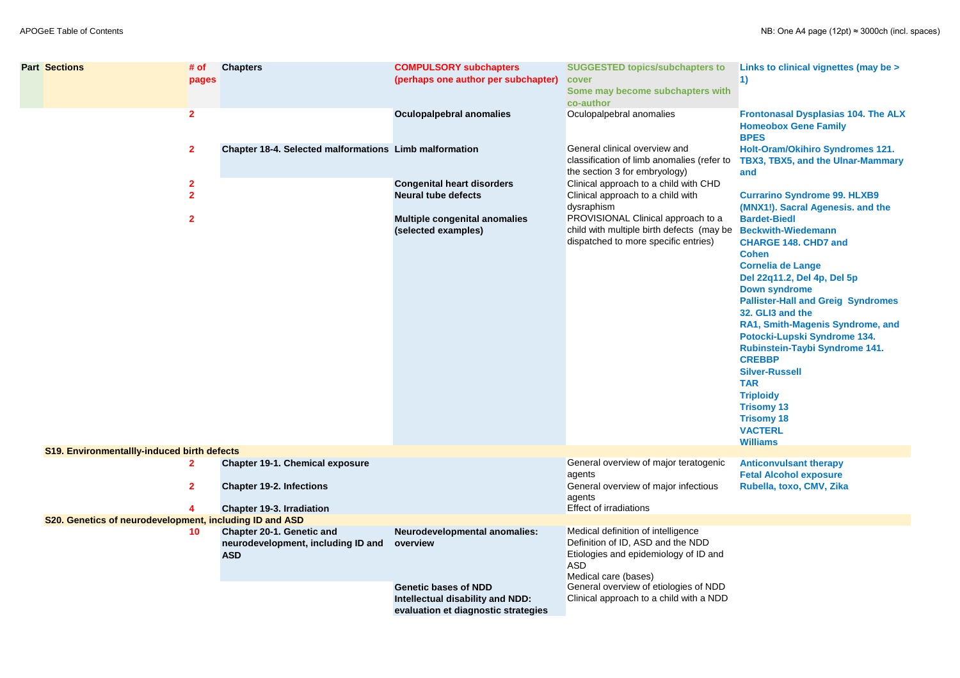| <b>Part Sections</b>                                    | # of<br>pages                  | <b>Chapters</b>                                                                      | <b>COMPULSORY subchapters</b><br>(perhaps one author per subchapter)                                   | <b>SUGGESTED topics/subchapters to</b><br>cover<br>Some may become subchapters with<br>co-author                                                       | Links to clinical vignettes (may be ><br>1)                                                                                                                                                                                                                                                                                                                                                                                                                                                       |
|---------------------------------------------------------|--------------------------------|--------------------------------------------------------------------------------------|--------------------------------------------------------------------------------------------------------|--------------------------------------------------------------------------------------------------------------------------------------------------------|---------------------------------------------------------------------------------------------------------------------------------------------------------------------------------------------------------------------------------------------------------------------------------------------------------------------------------------------------------------------------------------------------------------------------------------------------------------------------------------------------|
|                                                         | $\overline{2}$                 |                                                                                      | <b>Oculopalpebral anomalies</b>                                                                        | Oculopalpebral anomalies                                                                                                                               | <b>Frontonasal Dysplasias 104. The ALX</b><br><b>Homeobox Gene Family</b><br><b>BPES</b>                                                                                                                                                                                                                                                                                                                                                                                                          |
|                                                         | $\mathbf{2}$                   | <b>Chapter 18-4. Selected malformations Limb malformation</b>                        |                                                                                                        | General clinical overview and<br>classification of limb anomalies (refer to<br>the section 3 for embryology)                                           | <b>Holt-Oram/Okihiro Syndromes 121.</b><br><b>TBX3, TBX5, and the Ulnar-Mammary</b><br>and                                                                                                                                                                                                                                                                                                                                                                                                        |
|                                                         | $\mathbf{2}$<br>2 <sup>1</sup> |                                                                                      | <b>Congenital heart disorders</b><br><b>Neural tube defects</b>                                        | Clinical approach to a child with CHD<br>Clinical approach to a child with<br>dysraphism                                                               | <b>Currarino Syndrome 99. HLXB9</b><br>(MNX1!). Sacral Agenesis. and the                                                                                                                                                                                                                                                                                                                                                                                                                          |
|                                                         | $\mathbf{2}$                   |                                                                                      | <b>Multiple congenital anomalies</b><br>(selected examples)                                            | PROVISIONAL Clinical approach to a<br>child with multiple birth defects (may be<br>dispatched to more specific entries)                                | <b>Bardet-Biedl</b><br><b>Beckwith-Wiedemann</b><br><b>CHARGE 148. CHD7 and</b><br><b>Cohen</b><br><b>Cornelia de Lange</b><br>Del 22q11.2, Del 4p, Del 5p<br><b>Down syndrome</b><br><b>Pallister-Hall and Greig Syndromes</b><br>32. GLI3 and the<br>RA1, Smith-Magenis Syndrome, and<br>Potocki-Lupski Syndrome 134.<br>Rubinstein-Taybi Syndrome 141.<br><b>CREBBP</b><br><b>Silver-Russell</b><br><b>TAR</b><br><b>Triploidy</b><br><b>Trisomy 13</b><br><b>Trisomy 18</b><br><b>VACTERL</b> |
| <b>S19. Environmentallly-induced birth defects</b>      |                                |                                                                                      |                                                                                                        |                                                                                                                                                        | <b>Williams</b>                                                                                                                                                                                                                                                                                                                                                                                                                                                                                   |
|                                                         | $\mathbf{2}$                   | <b>Chapter 19-1. Chemical exposure</b>                                               |                                                                                                        | General overview of major teratogenic<br>agents                                                                                                        | <b>Anticonvulsant therapy</b><br><b>Fetal Alcohol exposure</b>                                                                                                                                                                                                                                                                                                                                                                                                                                    |
|                                                         | 2 <sup>1</sup>                 | <b>Chapter 19-2. Infections</b><br><b>Chapter 19-3. Irradiation</b>                  |                                                                                                        | General overview of major infectious<br>agents<br><b>Effect of irradiations</b>                                                                        | Rubella, toxo, CMV, Zika                                                                                                                                                                                                                                                                                                                                                                                                                                                                          |
| S20. Genetics of neurodevelopment, including ID and ASD |                                |                                                                                      |                                                                                                        |                                                                                                                                                        |                                                                                                                                                                                                                                                                                                                                                                                                                                                                                                   |
|                                                         | 10                             | <b>Chapter 20-1. Genetic and</b><br>neurodevelopment, including ID and<br><b>ASD</b> | <b>Neurodevelopmental anomalies:</b><br>overview                                                       | Medical definition of intelligence<br>Definition of ID, ASD and the NDD<br>Etiologies and epidemiology of ID and<br><b>ASD</b><br>Medical care (bases) |                                                                                                                                                                                                                                                                                                                                                                                                                                                                                                   |
|                                                         |                                |                                                                                      | <b>Genetic bases of NDD</b><br>Intellectual disability and NDD:<br>evaluation et diagnostic strategies | General overview of etiologies of NDD<br>Clinical approach to a child with a NDD                                                                       |                                                                                                                                                                                                                                                                                                                                                                                                                                                                                                   |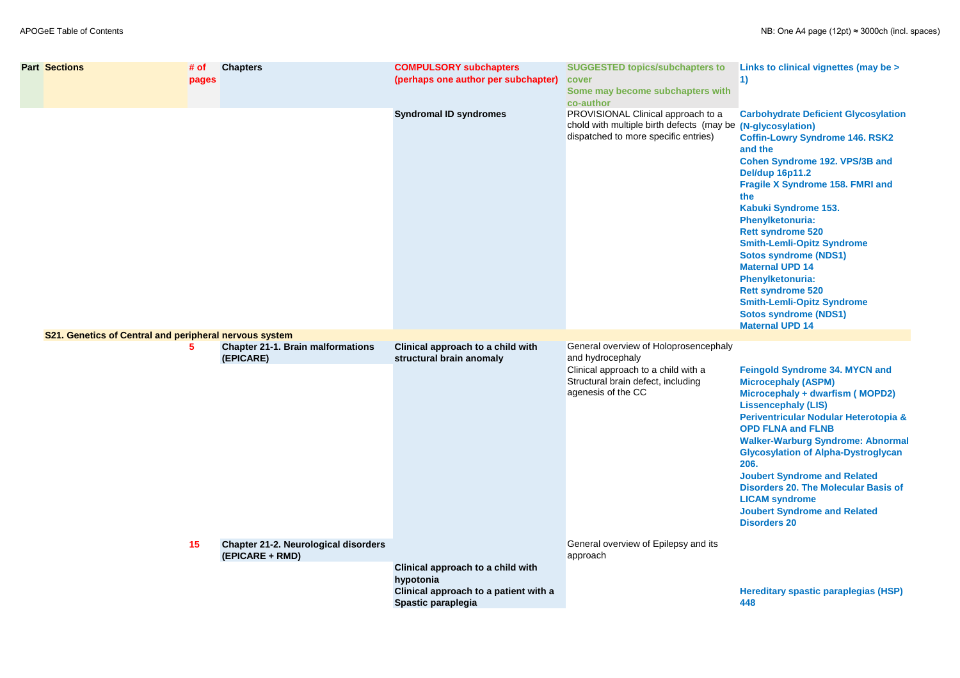| <b>Part Sections</b>                                   | # of<br>pages | <b>Chapters</b>                                                | <b>COMPULSORY subchapters</b><br>(perhaps one author per subchapter)                                                 | <b>SUGGESTED topics/subchapters to</b><br>cover<br>Some may become subchapters with<br>co-author                                          | Links to clinical vignettes (may be ><br>$\ket{1}$                                                                                                                                                                                                                                                                                                                                                                                                                                                                                                        |
|--------------------------------------------------------|---------------|----------------------------------------------------------------|----------------------------------------------------------------------------------------------------------------------|-------------------------------------------------------------------------------------------------------------------------------------------|-----------------------------------------------------------------------------------------------------------------------------------------------------------------------------------------------------------------------------------------------------------------------------------------------------------------------------------------------------------------------------------------------------------------------------------------------------------------------------------------------------------------------------------------------------------|
| S21. Genetics of Central and peripheral nervous system |               |                                                                | <b>Syndromal ID syndromes</b>                                                                                        | PROVISIONAL Clinical approach to a<br>chold with multiple birth defects (may be (N-glycosylation)<br>dispatched to more specific entries) | <b>Carbohydrate Deficient Glycosylation</b><br><b>Coffin-Lowry Syndrome 146. RSK2</b><br>and the<br><b>Cohen Syndrome 192. VPS/3B and</b><br><b>Del/dup 16p11.2</b><br><b>Fragile X Syndrome 158. FMRI and</b><br>the<br>Kabuki Syndrome 153.<br><b>Phenylketonuria:</b><br><b>Rett syndrome 520</b><br><b>Smith-Lemli-Opitz Syndrome</b><br><b>Sotos syndrome (NDS1)</b><br><b>Maternal UPD 14</b><br><b>Phenylketonuria:</b><br><b>Rett syndrome 520</b><br><b>Smith-Lemli-Opitz Syndrome</b><br><b>Sotos syndrome (NDS1)</b><br><b>Maternal UPD 14</b> |
|                                                        | 5             | <b>Chapter 21-1. Brain malformations</b>                       | Clinical approach to a child with                                                                                    | General overview of Holoprosencephaly                                                                                                     |                                                                                                                                                                                                                                                                                                                                                                                                                                                                                                                                                           |
|                                                        |               | (EPICARE)                                                      | structural brain anomaly                                                                                             | and hydrocephaly<br>Clinical approach to a child with a<br>Structural brain defect, including<br>agenesis of the CC                       | <b>Feingold Syndrome 34. MYCN and</b><br><b>Microcephaly (ASPM)</b><br>Microcephaly + dwarfism (MOPD2)<br><b>Lissencephaly (LIS)</b><br>Periventricular Nodular Heterotopia &<br><b>OPD FLNA and FLNB</b><br><b>Walker-Warburg Syndrome: Abnormal</b><br><b>Glycosylation of Alpha-Dystroglycan</b><br>206.<br><b>Joubert Syndrome and Related</b><br><b>Disorders 20. The Molecular Basis of</b><br><b>LICAM syndrome</b><br><b>Joubert Syndrome and Related</b><br><b>Disorders 20</b>                                                                  |
|                                                        | 15            | <b>Chapter 21-2. Neurological disorders</b><br>(EPICARE + RMD) |                                                                                                                      | General overview of Epilepsy and its<br>approach                                                                                          |                                                                                                                                                                                                                                                                                                                                                                                                                                                                                                                                                           |
|                                                        |               |                                                                | Clinical approach to a child with<br>hypotonia<br>Clinical approach to a patient with a<br><b>Spastic paraplegia</b> |                                                                                                                                           | <b>Hereditary spastic paraplegias (HSP)</b><br>448                                                                                                                                                                                                                                                                                                                                                                                                                                                                                                        |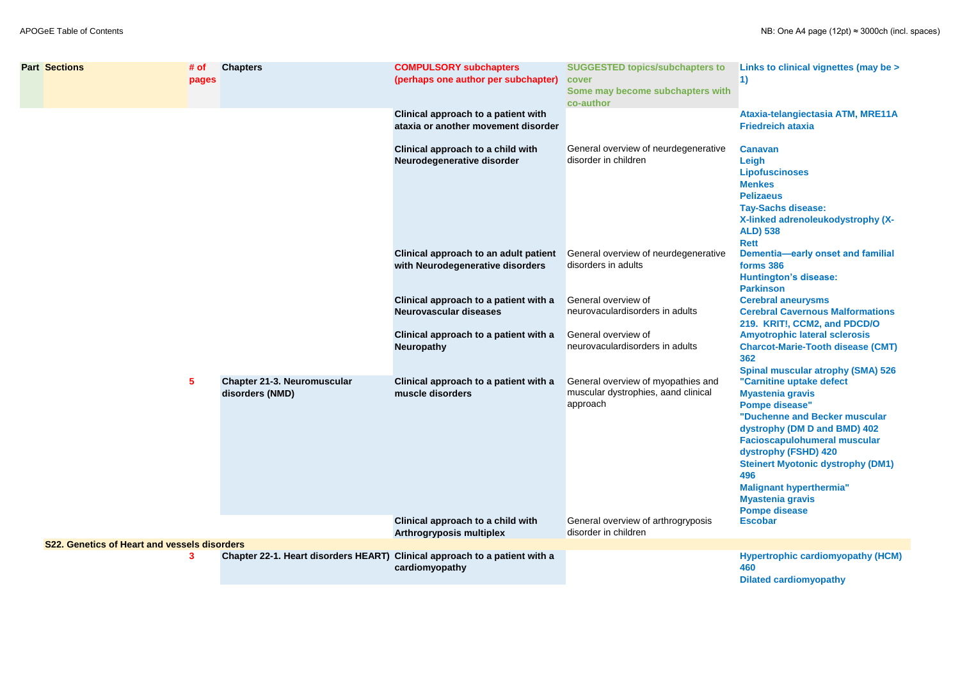| <b>Part Sections</b>                                | # of<br>pages | <b>Chapters</b>                                                            | <b>COMPULSORY subchapters</b><br>(perhaps one author per subchapter)       | <b>SUGGESTED topics/subchapters to</b><br>cover<br>Some may become subchapters with<br>co-author | Links to clinical vignettes (may be ><br>$\vert$ 1)                                                                                                                                                                                                                                                                                                  |
|-----------------------------------------------------|---------------|----------------------------------------------------------------------------|----------------------------------------------------------------------------|--------------------------------------------------------------------------------------------------|------------------------------------------------------------------------------------------------------------------------------------------------------------------------------------------------------------------------------------------------------------------------------------------------------------------------------------------------------|
|                                                     |               |                                                                            | Clinical approach to a patient with<br>ataxia or another movement disorder |                                                                                                  | Ataxia-telangiectasia ATM, MRE11A<br><b>Friedreich ataxia</b>                                                                                                                                                                                                                                                                                        |
|                                                     |               |                                                                            | Clinical approach to a child with<br>Neurodegenerative disorder            | General overview of neurdegenerative<br>disorder in children                                     | <b>Canavan</b><br>Leigh<br><b>Lipofuscinoses</b><br><b>Menkes</b><br><b>Pelizaeus</b><br><b>Tay-Sachs disease:</b><br>X-linked adrenoleukodystrophy (X-<br><b>ALD</b> ) 538<br><b>Rett</b>                                                                                                                                                           |
|                                                     |               |                                                                            | Clinical approach to an adult patient<br>with Neurodegenerative disorders  | General overview of neurdegenerative<br>disorders in adults                                      | <b>Dementia-early onset and familial</b><br>forms 386<br><b>Huntington's disease:</b><br><b>Parkinson</b>                                                                                                                                                                                                                                            |
|                                                     |               |                                                                            | Clinical approach to a patient with a<br><b>Neurovascular diseases</b>     | General overview of<br>neurovaculardisorders in adults                                           | <b>Cerebral aneurysms</b><br><b>Cerebral Cavernous Malformations</b><br>219. KRIT!, CCM2, and PDCD/O                                                                                                                                                                                                                                                 |
|                                                     |               |                                                                            | Clinical approach to a patient with a<br><b>Neuropathy</b>                 | General overview of<br>neurovaculardisorders in adults                                           | <b>Amyotrophic lateral sclerosis</b><br><b>Charcot-Marie-Tooth disease (CMT)</b><br>362<br><b>Spinal muscular atrophy (SMA) 526</b>                                                                                                                                                                                                                  |
|                                                     | 5             | <b>Chapter 21-3. Neuromuscular</b><br>disorders (NMD)                      | Clinical approach to a patient with a<br>muscle disorders                  | General overview of myopathies and<br>muscular dystrophies, aand clinical<br>approach            | "Carnitine uptake defect<br><b>Myastenia gravis</b><br><b>Pompe disease"</b><br>"Duchenne and Becker muscular<br>dystrophy (DM D and BMD) 402<br><b>Facioscapulohumeral muscular</b><br>dystrophy (FSHD) 420<br><b>Steinert Myotonic dystrophy (DM1)</b><br>496<br><b>Malignant hyperthermia"</b><br><b>Myastenia gravis</b><br><b>Pompe disease</b> |
|                                                     |               |                                                                            | Clinical approach to a child with<br><b>Arthrogryposis multiplex</b>       | General overview of arthrogryposis<br>disorder in children                                       | <b>Escobar</b>                                                                                                                                                                                                                                                                                                                                       |
| <b>S22. Genetics of Heart and vessels disorders</b> |               |                                                                            |                                                                            |                                                                                                  |                                                                                                                                                                                                                                                                                                                                                      |
|                                                     | 3             | Chapter 22-1. Heart disorders HEART) Clinical approach to a patient with a | cardiomyopathy                                                             |                                                                                                  | <b>Hypertrophic cardiomyopathy (HCM)</b><br>460<br><b>Dilated cardiomyopathy</b>                                                                                                                                                                                                                                                                     |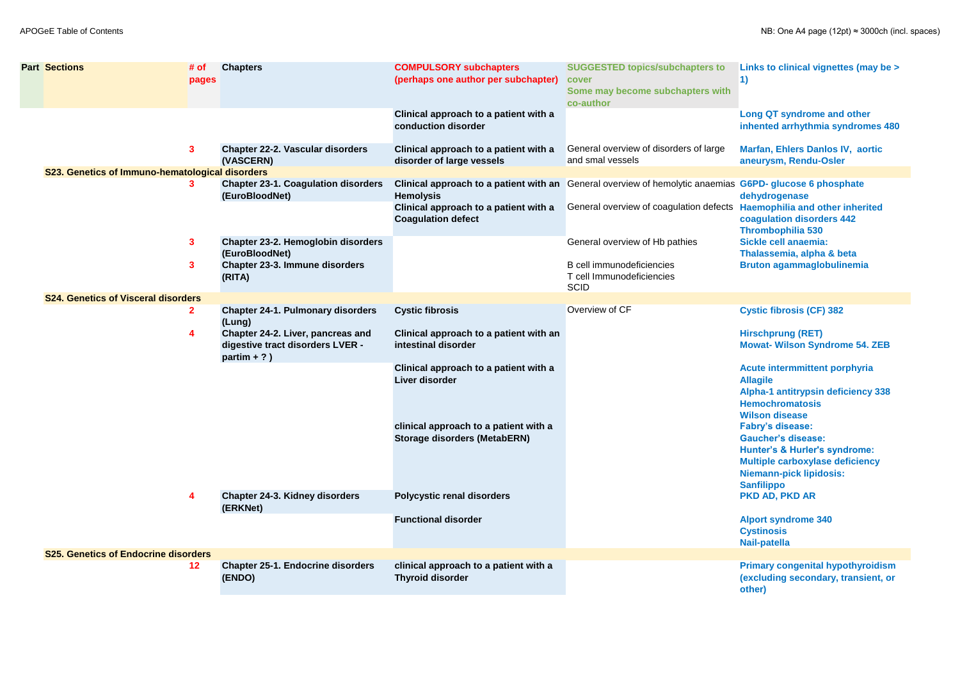| <b>Part Sections</b>                            | # of<br>pages  | <b>Chapters</b>                                                                         | <b>COMPULSORY subchapters</b><br>(perhaps one author per subchapter)         | <b>SUGGESTED topics/subchapters to</b><br>cover<br>Some may become subchapters with<br>co-author    | <b>Links to clinical vignette</b><br>$\left( \begin{matrix} 1 \end{matrix} \right)$                                                                                           |
|-------------------------------------------------|----------------|-----------------------------------------------------------------------------------------|------------------------------------------------------------------------------|-----------------------------------------------------------------------------------------------------|-------------------------------------------------------------------------------------------------------------------------------------------------------------------------------|
|                                                 |                |                                                                                         | Clinical approach to a patient with a<br>conduction disorder                 |                                                                                                     | <b>Long QT syndrome and</b><br>inhented arrhythmia syr                                                                                                                        |
|                                                 | 3 <sup>1</sup> | <b>Chapter 22-2. Vascular disorders</b><br>(VASCERN)                                    | Clinical approach to a patient with a<br>disorder of large vessels           | General overview of disorders of large<br>and smal vessels                                          | <b>Marfan, Ehlers Danlos IV</b><br>aneurysm, Rendu-Osler                                                                                                                      |
| S23. Genetics of Immuno-hematological disorders |                |                                                                                         |                                                                              |                                                                                                     |                                                                                                                                                                               |
|                                                 | 3.             | <b>Chapter 23-1. Coagulation disorders</b><br>(EuroBloodNet)                            | <b>Hemolysis</b>                                                             | Clinical approach to a patient with an General overview of hemolytic anaemias G6PD- glucose 6 phosp | dehydrogenase                                                                                                                                                                 |
|                                                 |                |                                                                                         | Clinical approach to a patient with a<br><b>Coagulation defect</b>           | General overview of coagulation defects Haemophilia and other i                                     | coagulation disorders 4                                                                                                                                                       |
|                                                 | 3 <sup>1</sup> | Chapter 23-2. Hemoglobin disorders                                                      |                                                                              | General overview of Hb pathies                                                                      | <b>Thrombophilia 530</b><br>Sickle cell anaemia:                                                                                                                              |
|                                                 |                | (EuroBloodNet)                                                                          |                                                                              |                                                                                                     | Thalassemia, alpha & be                                                                                                                                                       |
|                                                 | 3              | <b>Chapter 23-3. Immune disorders</b><br>(RITA)                                         |                                                                              | B cell immunodeficiencies<br>T cell Immunodeficiencies<br><b>SCID</b>                               | <b>Bruton agammaglobulir</b>                                                                                                                                                  |
| <b>S24. Genetics of Visceral disorders</b>      |                |                                                                                         |                                                                              |                                                                                                     |                                                                                                                                                                               |
|                                                 | $\mathbf{2}$   | <b>Chapter 24-1. Pulmonary disorders</b><br>(Lung)                                      | <b>Cystic fibrosis</b>                                                       | Overview of CF                                                                                      | <b>Cystic fibrosis (CF) 382</b>                                                                                                                                               |
|                                                 | 4              | Chapter 24-2. Liver, pancreas and<br>digestive tract disorders LVER -<br>partim $+ ?$ ) | Clinical approach to a patient with an<br>intestinal disorder                |                                                                                                     | <b>Hirschprung (RET)</b><br><b>Mowat- Wilson Syndron</b>                                                                                                                      |
|                                                 |                |                                                                                         | Clinical approach to a patient with a<br>Liver disorder                      |                                                                                                     | <b>Acute intermmittent por</b><br><b>Allagile</b><br>Alpha-1 antitrypsin defio<br><b>Hemochromatosis</b><br><b>Wilson disease</b>                                             |
|                                                 |                |                                                                                         | clinical approach to a patient with a<br><b>Storage disorders (MetabERN)</b> |                                                                                                     | <b>Fabry's disease:</b><br><b>Gaucher's disease:</b><br><b>Hunter's &amp; Hurler's syno</b><br>Multiple carboxylase de<br><b>Niemann-pick lipidosis:</b><br><b>Sanfilippo</b> |
|                                                 | 4              | <b>Chapter 24-3. Kidney disorders</b><br>(ERKNet)                                       | <b>Polycystic renal disorders</b>                                            |                                                                                                     | <b>PKD AD, PKD AR</b>                                                                                                                                                         |
|                                                 |                |                                                                                         | <b>Functional disorder</b>                                                   |                                                                                                     | <b>Alport syndrome 340</b><br><b>Cystinosis</b><br><b>Nail-patella</b>                                                                                                        |
| <b>S25. Genetics of Endocrine disorders</b>     |                |                                                                                         |                                                                              |                                                                                                     |                                                                                                                                                                               |
|                                                 | $12 \,$        | <b>Chapter 25-1. Endocrine disorders</b><br>(ENDO)                                      | clinical approach to a patient with a<br><b>Thyroid disorder</b>             |                                                                                                     | <b>Primary congenital hypo</b><br>(excluding secondary, to<br>other)                                                                                                          |
|                                                 |                |                                                                                         |                                                                              |                                                                                                     |                                                                                                                                                                               |

| <b>SUGGESTED topics/subchapters to</b><br>cover<br>Some may become subchapters with<br>co-author                                                                                                                              | Links to clinical vignettes (may be ><br>$\left( \mathbf{1}\right)$                                                                                                                                                                                                                                                                                                                                                                                                                                                                                                     |
|-------------------------------------------------------------------------------------------------------------------------------------------------------------------------------------------------------------------------------|-------------------------------------------------------------------------------------------------------------------------------------------------------------------------------------------------------------------------------------------------------------------------------------------------------------------------------------------------------------------------------------------------------------------------------------------------------------------------------------------------------------------------------------------------------------------------|
|                                                                                                                                                                                                                               | <b>Long QT syndrome and other</b><br>inhented arrhythmia syndromes 480                                                                                                                                                                                                                                                                                                                                                                                                                                                                                                  |
| General overview of disorders of large<br>and smal vessels                                                                                                                                                                    | <b>Marfan, Ehlers Danlos IV, aortic</b><br>aneurysm, Rendu-Osler                                                                                                                                                                                                                                                                                                                                                                                                                                                                                                        |
| General overview of hemolytic anaemias G6PD- glucose 6 phosphate<br>General overview of coagulation defects<br>General overview of Hb pathies<br><b>B</b> cell immunodeficiencies<br>T cell Immunodeficiencies<br><b>SCID</b> | dehydrogenase<br><b>Haemophilia and other inherited</b><br>coagulation disorders 442<br><b>Thrombophilia 530</b><br>Sickle cell anaemia:<br>Thalassemia, alpha & beta<br><b>Bruton agammaglobulinemia</b>                                                                                                                                                                                                                                                                                                                                                               |
| Overview of CF                                                                                                                                                                                                                | <b>Cystic fibrosis (CF) 382</b><br><b>Hirschprung (RET)</b><br><b>Mowat- Wilson Syndrome 54. ZEB</b><br><b>Acute intermmittent porphyria</b><br><b>Allagile</b><br><b>Alpha-1 antitrypsin deficiency 338</b><br><b>Hemochromatosis</b><br><b>Wilson disease</b><br><b>Fabry's disease:</b><br><b>Gaucher's disease:</b><br><b>Hunter's &amp; Hurler's syndrome:</b><br><b>Multiple carboxylase deficiency</b><br><b>Niemann-pick lipidosis:</b><br><b>Sanfilippo</b><br><b>PKD AD, PKD AR</b><br><b>Alport syndrome 340</b><br><b>Cystinosis</b><br><b>Nail-patella</b> |
|                                                                                                                                                                                                                               | <b>Primary congenital hypothyroidism</b><br>(excluding secondary, transient, or<br>other)                                                                                                                                                                                                                                                                                                                                                                                                                                                                               |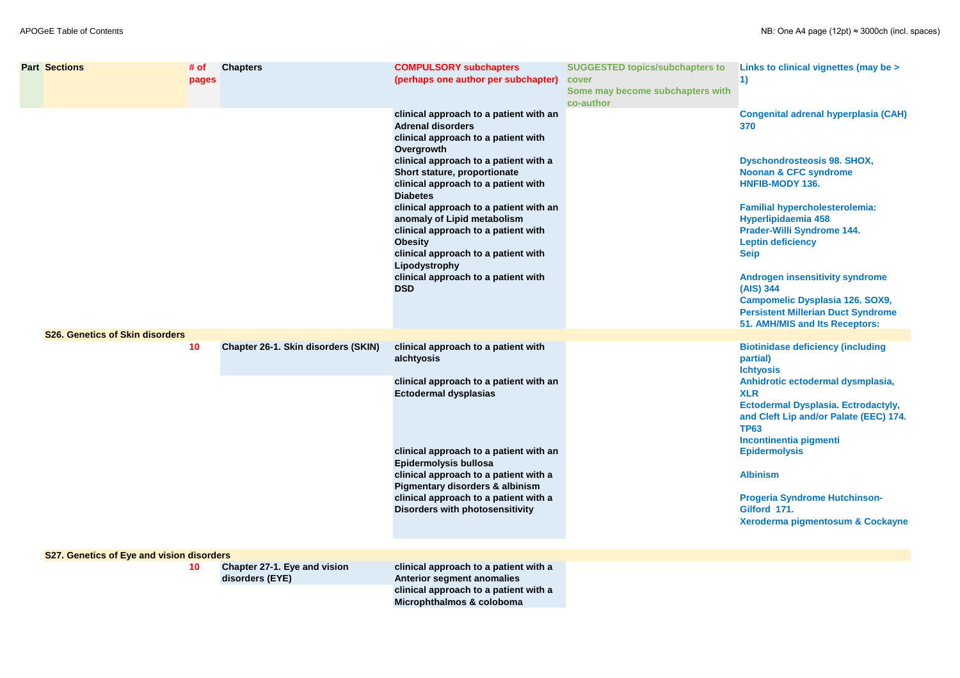| <b>Part Sections</b>                      | # of<br>pages | <b>Chapters</b>                                 | <b>COMPULSORY subchapters</b><br>(perhaps one author per subchapter)                                                                                                                                                                                                                                                                                                                                                                                                                                      | <b>SUGGESTED topics/subchapters to</b><br>cover<br>Some may become subchapters with<br>co-author | Links to clinical vignettes (may be ><br>$\vert$ 1)                                                                                                                                                                                                                                                                                                                                                     |
|-------------------------------------------|---------------|-------------------------------------------------|-----------------------------------------------------------------------------------------------------------------------------------------------------------------------------------------------------------------------------------------------------------------------------------------------------------------------------------------------------------------------------------------------------------------------------------------------------------------------------------------------------------|--------------------------------------------------------------------------------------------------|---------------------------------------------------------------------------------------------------------------------------------------------------------------------------------------------------------------------------------------------------------------------------------------------------------------------------------------------------------------------------------------------------------|
|                                           |               |                                                 | clinical approach to a patient with an<br><b>Adrenal disorders</b><br>clinical approach to a patient with<br>Overgrowth<br>clinical approach to a patient with a<br>Short stature, proportionate<br>clinical approach to a patient with<br><b>Diabetes</b><br>clinical approach to a patient with an<br>anomaly of Lipid metabolism<br>clinical approach to a patient with<br><b>Obesity</b><br>clinical approach to a patient with<br>Lipodystrophy<br>clinical approach to a patient with<br><b>DSD</b> |                                                                                                  | <b>Congenital adrenal hyperplasia (CAH)</b><br>370<br><b>Dyschondrosteosis 98. SHOX,</b><br><b>Noonan &amp; CFC syndrome</b><br><b>HNFIB-MODY 136.</b><br><b>Familial hypercholesterolemia:</b><br>Hyperlipidaemia 458<br><b>Prader-Willi Syndrome 144.</b><br><b>Leptin deficiency</b><br><b>Seip</b><br><b>Androgen insensitivity syndrome</b><br>(AIS) 344<br><b>Campomelic Dysplasia 126. SOX9,</b> |
|                                           |               |                                                 |                                                                                                                                                                                                                                                                                                                                                                                                                                                                                                           |                                                                                                  | <b>Persistent Millerian Duct Syndrome</b><br>51. AMH/MIS and Its Receptors:                                                                                                                                                                                                                                                                                                                             |
| <b>S26. Genetics of Skin disorders</b>    | 10            | <b>Chapter 26-1. Skin disorders (SKIN)</b>      | clinical approach to a patient with<br>alchtyosis<br>clinical approach to a patient with an<br><b>Ectodermal dysplasias</b>                                                                                                                                                                                                                                                                                                                                                                               |                                                                                                  | <b>Biotinidase deficiency (including</b><br>partial)<br><b>Ichtyosis</b><br>Anhidrotic ectodermal dysmplasia,<br><b>XLR</b><br>Ectodermal Dysplasia. Ectrodactyly,<br>and Cleft Lip and/or Palate (EEC) 174.<br><b>TP63</b>                                                                                                                                                                             |
|                                           |               |                                                 | clinical approach to a patient with an<br>Epidermolysis bullosa<br>clinical approach to a patient with a<br><b>Pigmentary disorders &amp; albinism</b><br>clinical approach to a patient with a<br><b>Disorders with photosensitivity</b>                                                                                                                                                                                                                                                                 |                                                                                                  | Incontinentia pigmenti<br><b>Epidermolysis</b><br><b>Albinism</b><br><b>Progeria Syndrome Hutchinson-</b><br>Gilford 171.<br>Xeroderma pigmentosum & Cockayne                                                                                                                                                                                                                                           |
| S27. Genetics of Eye and vision disorders | 10            | Chapter 27-1. Eye and vision<br>disorders (EYE) | clinical approach to a patient with a<br><b>Anterior segment anomalies</b><br>clinical approach to a patient with a<br>Microphthalmos & coloboma                                                                                                                                                                                                                                                                                                                                                          |                                                                                                  |                                                                                                                                                                                                                                                                                                                                                                                                         |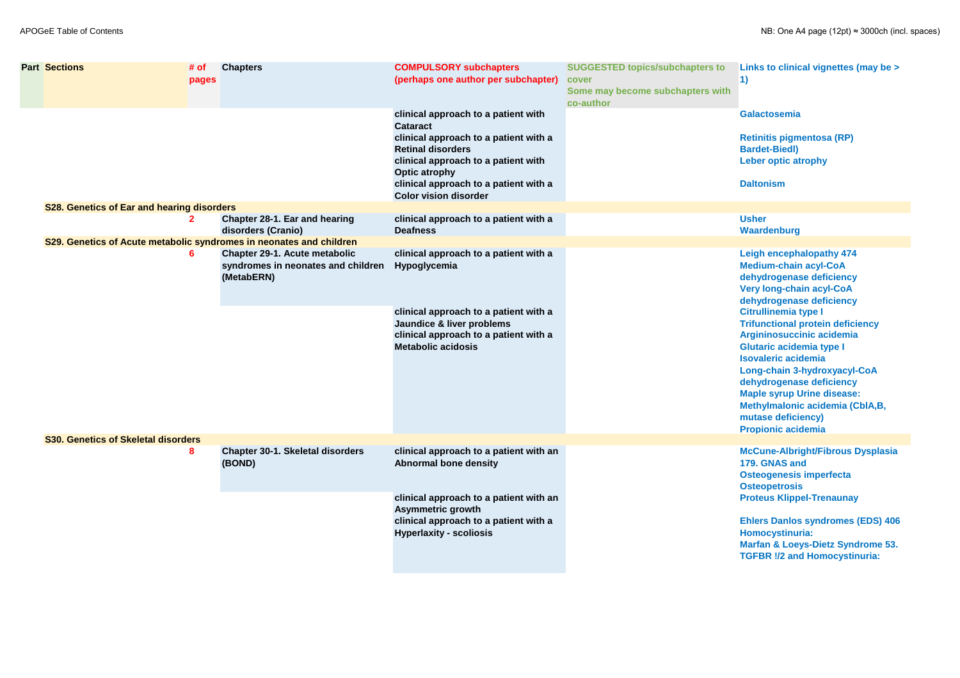|  | <b>Part Sections</b>                                                | # of<br>pages | <b>Chapters</b>                                                                          | <b>COMPULSORY subchapters</b><br>(perhaps one author per subchapter)                                                                                                                                                                                                | <b>SUGGESTED topics/subchapters to</b><br>cover<br>Some may become subchapters with<br>co-author | Links to clinical vignettes (may be ><br>$\left( \mathbf{1}\right)$                                                                                                                                                                                                                                                                                         |
|--|---------------------------------------------------------------------|---------------|------------------------------------------------------------------------------------------|---------------------------------------------------------------------------------------------------------------------------------------------------------------------------------------------------------------------------------------------------------------------|--------------------------------------------------------------------------------------------------|-------------------------------------------------------------------------------------------------------------------------------------------------------------------------------------------------------------------------------------------------------------------------------------------------------------------------------------------------------------|
|  |                                                                     |               |                                                                                          | clinical approach to a patient with<br><b>Cataract</b><br>clinical approach to a patient with a<br><b>Retinal disorders</b><br>clinical approach to a patient with<br><b>Optic atrophy</b><br>clinical approach to a patient with a<br><b>Color vision disorder</b> |                                                                                                  | <b>Galactosemia</b><br><b>Retinitis pigmentosa (RP)</b><br><b>Bardet-Biedl)</b><br><b>Leber optic atrophy</b><br><b>Daltonism</b>                                                                                                                                                                                                                           |
|  | S28. Genetics of Ear and hearing disorders                          |               |                                                                                          |                                                                                                                                                                                                                                                                     |                                                                                                  |                                                                                                                                                                                                                                                                                                                                                             |
|  |                                                                     |               | <b>Chapter 28-1. Ear and hearing</b><br>disorders (Cranio)                               | clinical approach to a patient with a<br><b>Deafness</b>                                                                                                                                                                                                            |                                                                                                  | <b>Usher</b><br><b>Waardenburg</b>                                                                                                                                                                                                                                                                                                                          |
|  | S29. Genetics of Acute metabolic syndromes in neonates and children |               |                                                                                          |                                                                                                                                                                                                                                                                     |                                                                                                  |                                                                                                                                                                                                                                                                                                                                                             |
|  |                                                                     | 6             | <b>Chapter 29-1. Acute metabolic</b><br>syndromes in neonates and children<br>(MetabERN) | clinical approach to a patient with a<br>Hypoglycemia                                                                                                                                                                                                               |                                                                                                  | <b>Leigh encephalopathy 474</b><br><b>Medium-chain acyl-CoA</b><br>dehydrogenase deficiency<br><b>Very long-chain acyl-CoA</b><br>dehydrogenase deficiency                                                                                                                                                                                                  |
|  |                                                                     |               |                                                                                          | clinical approach to a patient with a<br><b>Jaundice &amp; liver problems</b><br>clinical approach to a patient with a<br><b>Metabolic acidosis</b>                                                                                                                 |                                                                                                  | <b>Citrullinemia type I</b><br><b>Trifunctional protein deficiency</b><br>Argininosuccinic acidemia<br><b>Glutaric acidemia type I</b><br><b>Isovaleric acidemia</b><br>Long-chain 3-hydroxyacyl-CoA<br>dehydrogenase deficiency<br><b>Maple syrup Urine disease:</b><br>Methylmalonic acidemia (CbIA,B,<br>mutase deficiency)<br><b>Propionic acidemia</b> |
|  | <b>S30. Genetics of Skeletal disorders</b><br>8                     |               | <b>Chapter 30-1. Skeletal disorders</b><br>(BOND)                                        | clinical approach to a patient with an<br><b>Abnormal bone density</b>                                                                                                                                                                                              |                                                                                                  | <b>McCune-Albright/Fibrous Dysplasia</b><br>179. GNAS and<br><b>Osteogenesis imperfecta</b><br><b>Osteopetrosis</b>                                                                                                                                                                                                                                         |
|  |                                                                     |               |                                                                                          | clinical approach to a patient with an<br><b>Asymmetric growth</b><br>clinical approach to a patient with a<br><b>Hyperlaxity - scoliosis</b>                                                                                                                       |                                                                                                  | <b>Proteus Klippel-Trenaunay</b><br><b>Ehlers Danlos syndromes (EDS) 406</b><br><b>Homocystinuria:</b><br>Marfan & Loeys-Dietz Syndrome 53.<br><b>TGFBR !/2 and Homocystinuria:</b>                                                                                                                                                                         |
|  |                                                                     |               |                                                                                          |                                                                                                                                                                                                                                                                     |                                                                                                  |                                                                                                                                                                                                                                                                                                                                                             |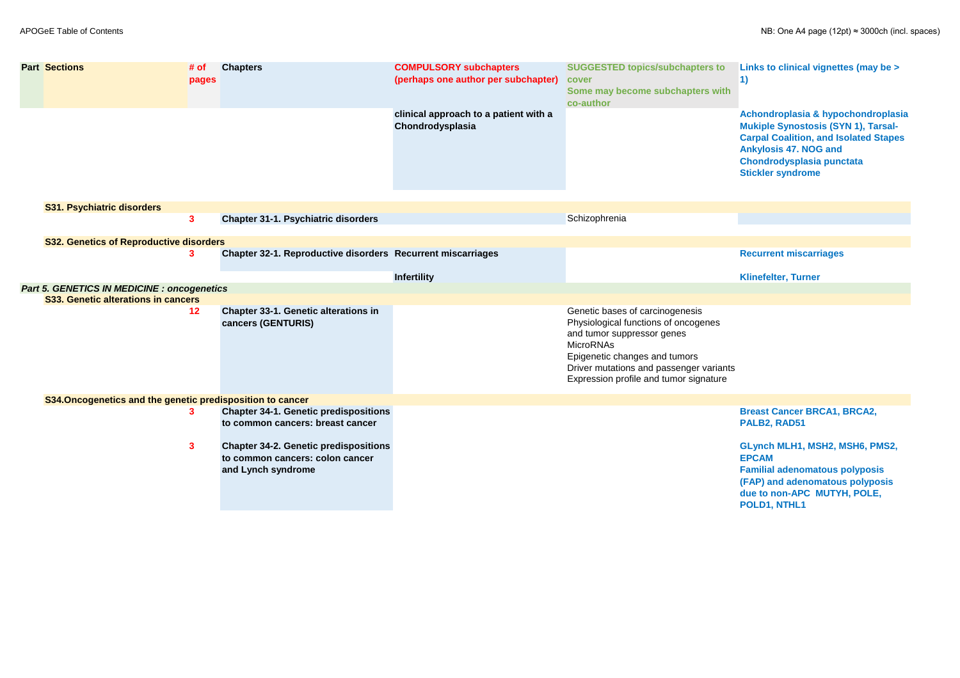| <b>Part Sections</b>                                       | # of<br>pages | <b>Chapters</b>                                                                                       | <b>COMPULSORY subchapters</b><br>(perhaps one author per subchapter) | <b>SUGGESTED topics/subchapters to</b><br>cover<br>Some may become subchapters with<br>co-author                                                                                                                                                | Links to clinical vignettes (may be ><br>$\vert 1)$                                                                                                                                                                              |
|------------------------------------------------------------|---------------|-------------------------------------------------------------------------------------------------------|----------------------------------------------------------------------|-------------------------------------------------------------------------------------------------------------------------------------------------------------------------------------------------------------------------------------------------|----------------------------------------------------------------------------------------------------------------------------------------------------------------------------------------------------------------------------------|
|                                                            |               |                                                                                                       | clinical approach to a patient with a<br>Chondrodysplasia            |                                                                                                                                                                                                                                                 | Achondroplasia & hypochondroplasia<br><b>Mukiple Synostosis (SYN 1), Tarsal-</b><br><b>Carpal Coalition, and Isolated Stapes</b><br><b>Ankylosis 47. NOG and</b><br><b>Chondrodysplasia punctata</b><br><b>Stickler syndrome</b> |
| <b>S31. Psychiatric disorders</b>                          |               |                                                                                                       |                                                                      |                                                                                                                                                                                                                                                 |                                                                                                                                                                                                                                  |
|                                                            | $\mathbf{3}$  | <b>Chapter 31-1. Psychiatric disorders</b>                                                            |                                                                      | Schizophrenia                                                                                                                                                                                                                                   |                                                                                                                                                                                                                                  |
| <b>S32. Genetics of Reproductive disorders</b>             |               |                                                                                                       |                                                                      |                                                                                                                                                                                                                                                 |                                                                                                                                                                                                                                  |
|                                                            | $\mathbf{3}$  | Chapter 32-1. Reproductive disorders Recurrent miscarriages                                           |                                                                      |                                                                                                                                                                                                                                                 | <b>Recurrent miscarriages</b>                                                                                                                                                                                                    |
|                                                            |               |                                                                                                       | <b>Infertility</b>                                                   |                                                                                                                                                                                                                                                 | <b>Klinefelter, Turner</b>                                                                                                                                                                                                       |
| <b>Part 5. GENETICS IN MEDICINE : oncogenetics</b>         |               |                                                                                                       |                                                                      |                                                                                                                                                                                                                                                 |                                                                                                                                                                                                                                  |
| S33. Genetic alterations in cancers                        |               |                                                                                                       |                                                                      |                                                                                                                                                                                                                                                 |                                                                                                                                                                                                                                  |
|                                                            | 12            | <b>Chapter 33-1. Genetic alterations in</b><br>cancers (GENTURIS)                                     |                                                                      | Genetic bases of carcinogenesis<br>Physiological functions of oncogenes<br>and tumor suppressor genes<br><b>MicroRNAs</b><br>Epigenetic changes and tumors<br>Driver mutations and passenger variants<br>Expression profile and tumor signature |                                                                                                                                                                                                                                  |
| S34. Oncogenetics and the genetic predisposition to cancer |               |                                                                                                       |                                                                      |                                                                                                                                                                                                                                                 |                                                                                                                                                                                                                                  |
|                                                            | $\mathbf{3}$  | <b>Chapter 34-1. Genetic predispositions</b><br>to common cancers: breast cancer                      |                                                                      |                                                                                                                                                                                                                                                 | <b>Breast Cancer BRCA1, BRCA2,</b><br>PALB2, RAD51                                                                                                                                                                               |
|                                                            | $\mathbf{3}$  | <b>Chapter 34-2. Genetic predispositions</b><br>to common cancers: colon cancer<br>and Lynch syndrome |                                                                      |                                                                                                                                                                                                                                                 | GLynch MLH1, MSH2, MSH6, PMS2,<br><b>EPCAM</b><br><b>Familial adenomatous polyposis</b><br>(FAP) and adenomatous polyposis<br>due to non-APC MUTYH, POLE,<br>POLD1, NTHL1                                                        |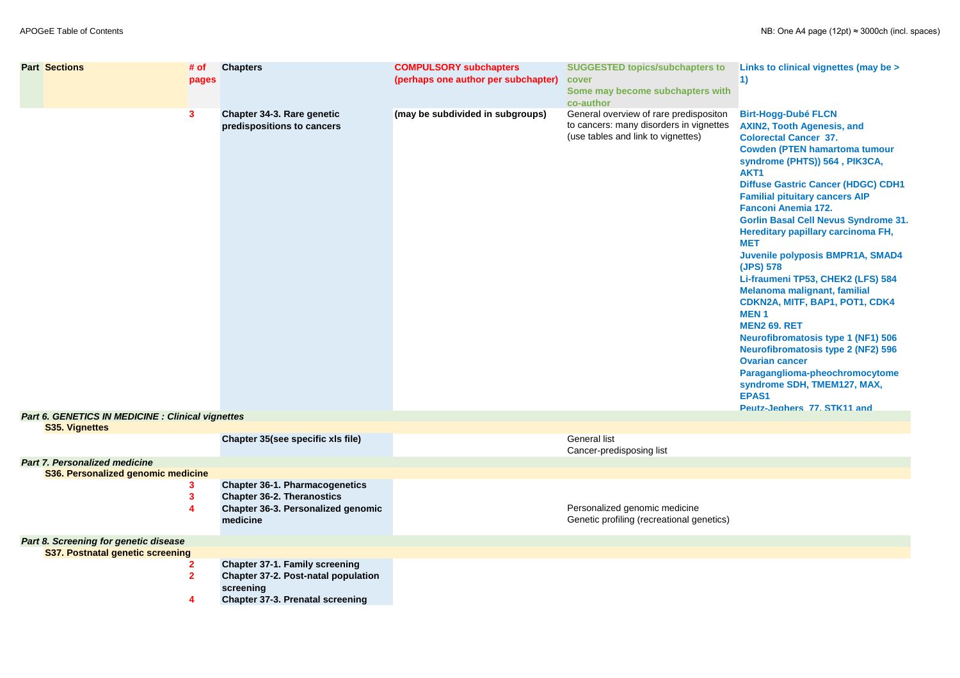| <b>Part Sections</b>                                                              | # of<br>pages    | <b>Chapters</b>                                                                                                                             | <b>COMPULSORY subchapters</b><br>(perhaps one author per subchapter) | <b>SUGGESTED topics/subchapters to</b><br>cover<br>Some may become subchapters with<br>co-author                        | Links to clinical vignettes (may be ><br>1)                                                                                                                                                                                                                                                                                                                                                                                                                                                                                                                                                                                                                                                                                                                                                                                                     |
|-----------------------------------------------------------------------------------|------------------|---------------------------------------------------------------------------------------------------------------------------------------------|----------------------------------------------------------------------|-------------------------------------------------------------------------------------------------------------------------|-------------------------------------------------------------------------------------------------------------------------------------------------------------------------------------------------------------------------------------------------------------------------------------------------------------------------------------------------------------------------------------------------------------------------------------------------------------------------------------------------------------------------------------------------------------------------------------------------------------------------------------------------------------------------------------------------------------------------------------------------------------------------------------------------------------------------------------------------|
|                                                                                   | 3                | <b>Chapter 34-3. Rare genetic</b><br>predispositions to cancers                                                                             | (may be subdivided in subgroups)                                     | General overview of rare predispositon<br>to cancers: many disorders in vignettes<br>(use tables and link to vignettes) | <b>Birt-Hogg-Dubé FLCN</b><br><b>AXIN2, Tooth Agenesis, and</b><br><b>Colorectal Cancer 37.</b><br><b>Cowden (PTEN hamartoma tumour</b><br>syndrome (PHTS)) 564, PIK3CA,<br>AKT1<br><b>Diffuse Gastric Cancer (HDGC) CDH1</b><br><b>Familial pituitary cancers AIP</b><br><b>Fanconi Anemia 172.</b><br><b>Gorlin Basal Cell Nevus Syndrome 31.</b><br><b>Hereditary papillary carcinoma FH,</b><br><b>MET</b><br>Juvenile polyposis BMPR1A, SMAD4<br>(JPS) 578<br>Li-fraumeni TP53, CHEK2 (LFS) 584<br><b>Melanoma malignant, familial</b><br>CDKN2A, MITF, BAP1, POT1, CDK4<br><b>MEN1</b><br><b>MEN2 69. RET</b><br><b>Neurofibromatosis type 1 (NF1) 506</b><br><b>Neurofibromatosis type 2 (NF2) 596</b><br><b>Ovarian cancer</b><br>Paraganglioma-pheochromocytome<br>syndrome SDH, TMEM127, MAX,<br>EPAS1<br>Peutz-Jeahers 77, STK11 and |
| <b>Part 6. GENETICS IN MEDICINE : Clinical vignettes</b><br><b>S35. Vignettes</b> |                  |                                                                                                                                             |                                                                      |                                                                                                                         |                                                                                                                                                                                                                                                                                                                                                                                                                                                                                                                                                                                                                                                                                                                                                                                                                                                 |
|                                                                                   |                  | Chapter 35(see specific xls file)                                                                                                           |                                                                      | <b>General list</b><br>Cancer-predisposing list                                                                         |                                                                                                                                                                                                                                                                                                                                                                                                                                                                                                                                                                                                                                                                                                                                                                                                                                                 |
| <b>Part 7. Personalized medicine</b><br>S36. Personalized genomic medicine        |                  | <b>Chapter 36-1. Pharmacogenetics</b><br><b>Chapter 36-2. Theranostics</b><br><b>Chapter 36-3. Personalized genomic</b><br>medicine         |                                                                      | Personalized genomic medicine<br>Genetic profiling (recreational genetics)                                              |                                                                                                                                                                                                                                                                                                                                                                                                                                                                                                                                                                                                                                                                                                                                                                                                                                                 |
| Part 8. Screening for genetic disease                                             |                  |                                                                                                                                             |                                                                      |                                                                                                                         |                                                                                                                                                                                                                                                                                                                                                                                                                                                                                                                                                                                                                                                                                                                                                                                                                                                 |
| <b>S37. Postnatal genetic screening</b>                                           | $\mathbf 2$<br>Δ | <b>Chapter 37-1. Family screening</b><br><b>Chapter 37-2. Post-natal population</b><br>screening<br><b>Chapter 37-3. Prenatal screening</b> |                                                                      |                                                                                                                         |                                                                                                                                                                                                                                                                                                                                                                                                                                                                                                                                                                                                                                                                                                                                                                                                                                                 |